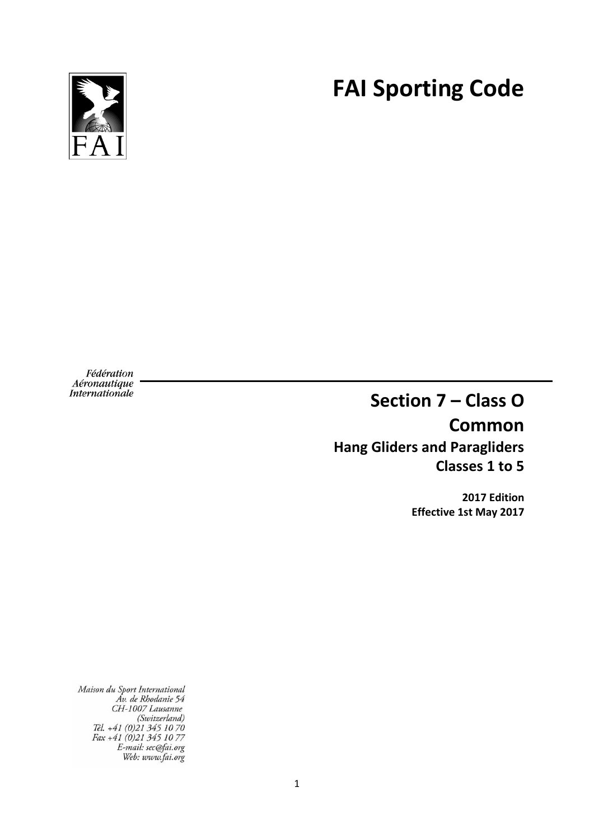**FAI Sporting Code**



Fédération *Aéronautique*<br>Internationale

# **Section 7 – Class O Common Hang Gliders and Paragliders Classes 1 to 5**

**2017 Edition Effective 1st May 2017**

Maison du Sport International<br>Av. de Rhodanie 54<br>CH-1007 Lausanne<br>(Switzerland)<br>Tél. +41 (0)21 345 10 70<br>Fax +41 (0)21 345 10 77<br>E-mail: sec@fai.org<br>Web: www.fai.org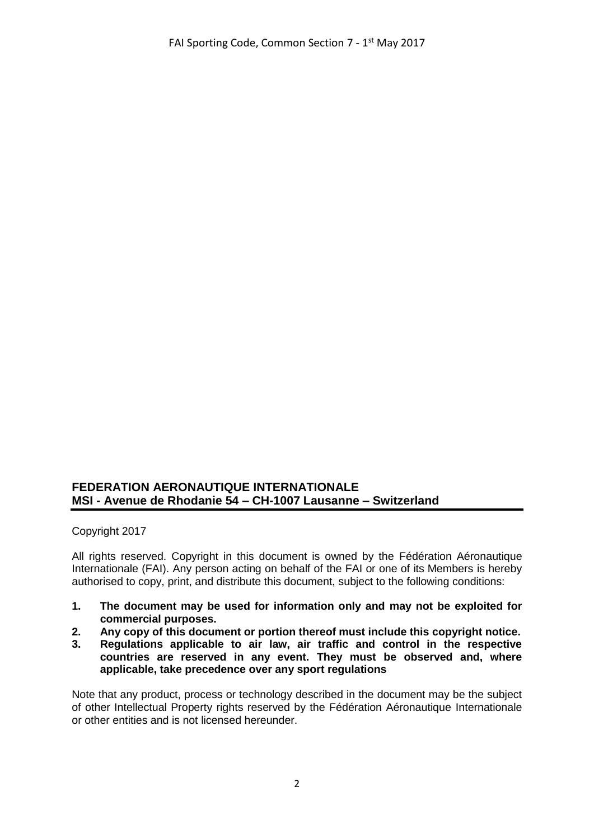## **FEDERATION AERONAUTIQUE INTERNATIONALE MSI - Avenue de Rhodanie 54 – CH-1007 Lausanne – Switzerland**

Copyright 2017

All rights reserved. Copyright in this document is owned by the Fédération Aéronautique Internationale (FAI). Any person acting on behalf of the FAI or one of its Members is hereby authorised to copy, print, and distribute this document, subject to the following conditions:

- **1. The document may be used for information only and may not be exploited for commercial purposes.**
- **2. Any copy of this document or portion thereof must include this copyright notice.**
- **3. Regulations applicable to air law, air traffic and control in the respective countries are reserved in any event. They must be observed and, where applicable, take precedence over any sport regulations**

Note that any product, process or technology described in the document may be the subject of other Intellectual Property rights reserved by the Fédération Aéronautique Internationale or other entities and is not licensed hereunder.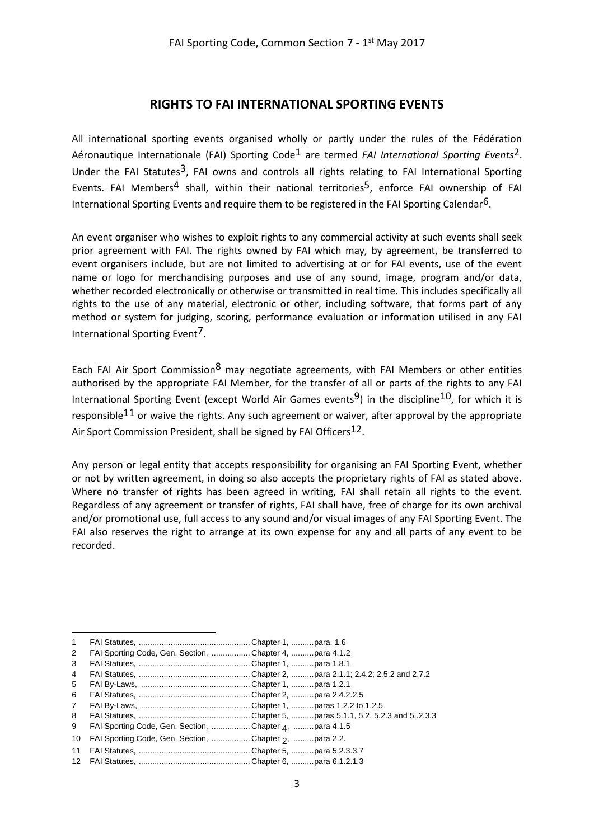#### **RIGHTS TO FAI INTERNATIONAL SPORTING EVENTS**

All international sporting events organised wholly or partly under the rules of the Fédération Aéronautique Internationale (FAI) Sporting Code1 are termed *FAI International Sporting Events*2. Under the FAI Statutes<sup>3</sup>, FAI owns and controls all rights relating to FAI International Sporting Events. FAI Members<sup>4</sup> shall, within their national territories<sup>5</sup>, enforce FAI ownership of FAI International Sporting Events and require them to be registered in the FAI Sporting Calendar<sup>6</sup>.

An event organiser who wishes to exploit rights to any commercial activity at such events shall seek prior agreement with FAI. The rights owned by FAI which may, by agreement, be transferred to event organisers include, but are not limited to advertising at or for FAI events, use of the event name or logo for merchandising purposes and use of any sound, image, program and/or data, whether recorded electronically or otherwise or transmitted in real time. This includes specifically all rights to the use of any material, electronic or other, including software, that forms part of any method or system for judging, scoring, performance evaluation or information utilised in any FAI International Sporting Event7.

Each FAI Air Sport Commission<sup>8</sup> may negotiate agreements, with FAI Members or other entities authorised by the appropriate FAI Member, for the transfer of all or parts of the rights to any FAI International Sporting Event (except World Air Games events<sup>9</sup>) in the discipline<sup>10</sup>, for which it is responsible<sup>11</sup> or waive the rights. Any such agreement or waiver, after approval by the appropriate Air Sport Commission President, shall be signed by FAI Officers<sup>12</sup>.

Any person or legal entity that accepts responsibility for organising an FAI Sporting Event, whether or not by written agreement, in doing so also accepts the proprietary rights of FAI as stated above. Where no transfer of rights has been agreed in writing, FAI shall retain all rights to the event. Regardless of any agreement or transfer of rights, FAI shall have, free of charge for its own archival and/or promotional use, full access to any sound and/or visual images of any FAI Sporting Event. The FAI also reserves the right to arrange at its own expense for any and all parts of any event to be recorded.

1

<sup>1</sup> FAI Statutes, ................................................. Chapter 1, ..........para. 1.6

<sup>2</sup> FAI Sporting Code, Gen. Section, ................. Chapter 4, ..........para 4.1.2 3 FAI Statutes, ................................................. Chapter 1, ..........para 1.8.1

<sup>4</sup> FAI Statutes, ................................................. Chapter 2, ..........para 2.1.1; 2.4.2; 2.5.2 and 2.7.2

<sup>5</sup> FAI By-Laws, ................................................ Chapter 1, ..........para 1.2.1

<sup>6</sup> FAI Statutes, ................................................. Chapter 2, ..........para 2.4.2.2.5

<sup>7</sup> FAI By-Laws, ................................................ Chapter 1, ..........paras 1.2.2 to 1.2.5

<sup>8</sup> FAI Statutes, ................................................. Chapter 5, ..........paras 5.1.1, 5.2, 5.2.3 and 5..2.3.3

<sup>9</sup> FAI Sporting Code, Gen. Section, .................Chapter <sub>4</sub>, .........para 4.1.5

<sup>10</sup> FAI Sporting Code, Gen. Section, .................Chapter 2, .........para 2.2.

<sup>11</sup> FAI Statutes, ................................................. Chapter 5, ..........para 5.2.3.3.7

<sup>12</sup> FAI Statutes, ................................................. Chapter 6, ..........para 6.1.2.1.3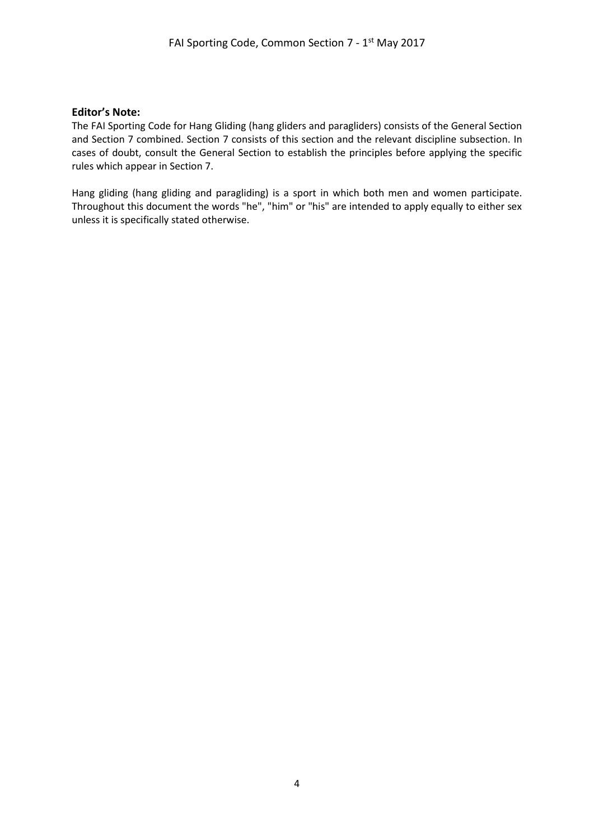#### **Editor's Note:**

The FAI Sporting Code for Hang Gliding (hang gliders and paragliders) consists of the General Section and Section 7 combined. Section 7 consists of this section and the relevant discipline subsection. In cases of doubt, consult the General Section to establish the principles before applying the specific rules which appear in Section 7.

Hang gliding (hang gliding and paragliding) is a sport in which both men and women participate. Throughout this document the words "he", "him" or "his" are intended to apply equally to either sex unless it is specifically stated otherwise.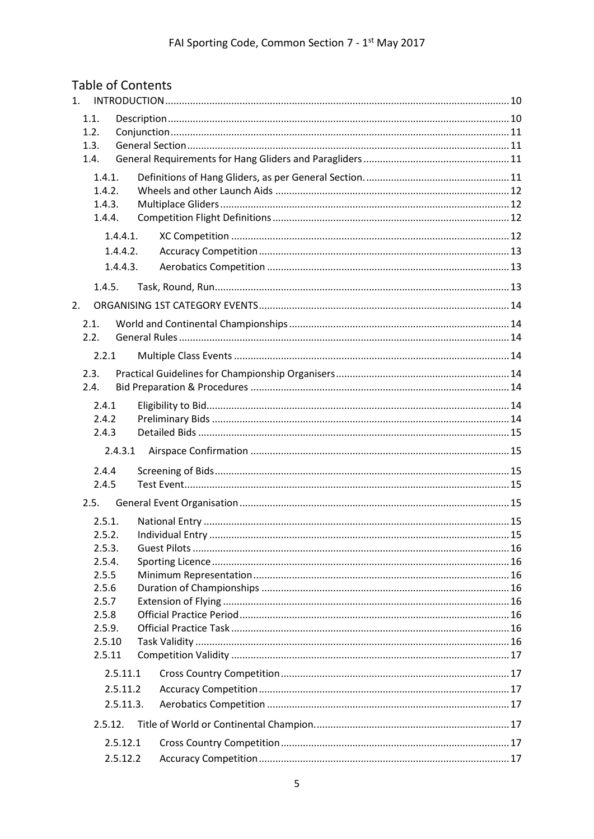| <b>Table of Contents</b> |           |                       |    |
|--------------------------|-----------|-----------------------|----|
| 1.                       |           |                       |    |
| 1.1.                     |           |                       |    |
| 1.2.<br>1.3.             |           |                       |    |
| 1.4.                     |           |                       |    |
| 1.4.1.                   |           |                       |    |
| 1.4.2.                   |           |                       |    |
| 1.4.3.                   |           |                       |    |
| 1.4.4.                   |           |                       |    |
|                          | 1.4.4.1.  |                       |    |
|                          | 1.4.4.2.  |                       |    |
|                          | 1.4.4.3.  |                       |    |
| 1.4.5.                   |           |                       |    |
| 2.                       |           |                       |    |
|                          |           |                       |    |
| 2.1.<br>2.2.             |           |                       |    |
|                          |           |                       |    |
| 2.2.1                    |           |                       |    |
| 2.3.                     |           |                       |    |
| 2.4.                     |           |                       |    |
| 2.4.1                    |           |                       |    |
| 2.4.2                    |           |                       |    |
| 2.4.3                    |           |                       |    |
|                          | 2.4.3.1   |                       |    |
| 2.4.4                    |           |                       |    |
| 2.4.5                    |           |                       |    |
| 2.5.                     |           |                       |    |
|                          |           | 2.5.1. National Entry | 15 |
| 2.5.2.                   |           |                       |    |
| 2.5.3.                   |           |                       |    |
| 2.5.4.                   |           |                       |    |
| 2.5.5<br>2.5.6           |           |                       |    |
| 2.5.7                    |           |                       |    |
| 2.5.8                    |           |                       |    |
| 2.5.9.                   |           |                       |    |
| 2.5.10                   |           |                       |    |
| 2.5.11                   |           |                       |    |
|                          | 2.5.11.1  |                       |    |
|                          | 2.5.11.2  |                       |    |
|                          | 2.5.11.3. |                       |    |
| 2.5.12.                  |           |                       |    |
|                          | 2.5.12.1  |                       |    |
|                          | 2.5.12.2  |                       |    |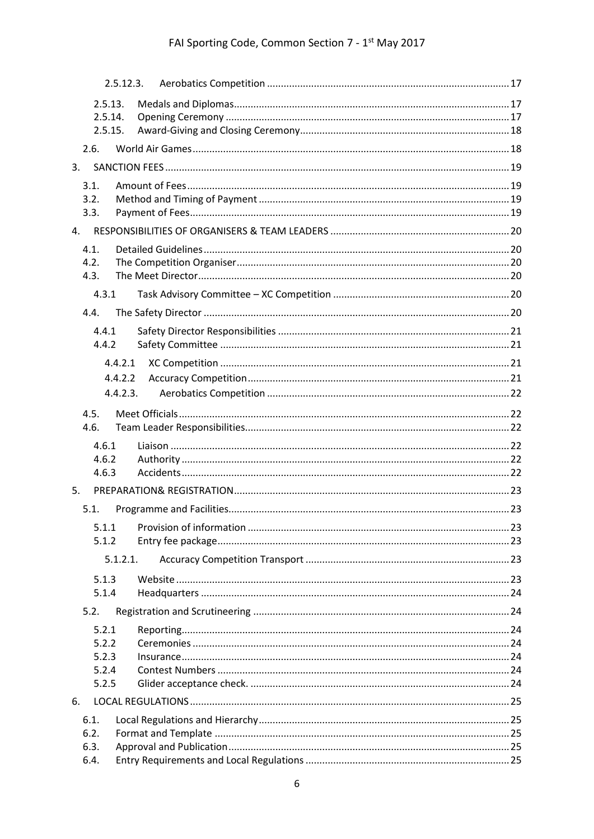# FAI Sporting Code, Common Section 7 - 1st May 2017

|                | 2.5.12.3. |  |
|----------------|-----------|--|
| 2.5.13.        |           |  |
| 2.5.14.        |           |  |
| 2.5.15.        |           |  |
| 2.6.           |           |  |
| 3.             |           |  |
| 3.1.           |           |  |
| 3.2.           |           |  |
| 3.3.           |           |  |
| 4.             |           |  |
| 4.1.           |           |  |
| 4.2.           |           |  |
| 4.3.           |           |  |
| 4.3.1          |           |  |
| 4.4.           |           |  |
| 4.4.1          |           |  |
| 4.4.2          |           |  |
|                | 4.4.2.1   |  |
|                | 4.4.2.2   |  |
|                | 4.4.2.3.  |  |
|                |           |  |
| 4.5.<br>4.6.   |           |  |
|                |           |  |
| 4.6.1<br>4.6.2 |           |  |
| 4.6.3          |           |  |
| 5.             |           |  |
| 5.1.           |           |  |
| 5.1.1          |           |  |
| 5.1.2          |           |  |
|                | 5.1.2.1.  |  |
|                |           |  |
| 5.1.3<br>5.1.4 |           |  |
| 5.2.           |           |  |
|                |           |  |
| 5.2.1<br>5.2.2 |           |  |
| 5.2.3          |           |  |
| 5.2.4          |           |  |
| 5.2.5          |           |  |
| 6.             |           |  |
| 6.1.           |           |  |
| 6.2.           |           |  |
| 6.3.           |           |  |
| 6.4.           |           |  |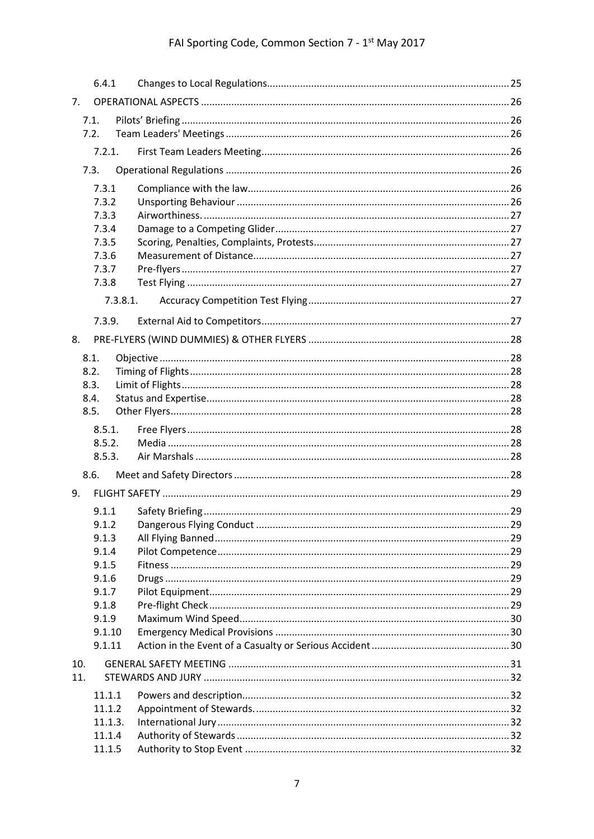# FAI Sporting Code, Common Section 7 - 1st May 2017

|     | 6.4.1          |          |  |
|-----|----------------|----------|--|
| 7.  |                |          |  |
|     | 7.1.           |          |  |
|     | 7.2.           |          |  |
|     | 7.2.1.         |          |  |
|     | 7.3.           |          |  |
|     | 7.3.1          |          |  |
|     | 7.3.2          |          |  |
|     | 7.3.3          |          |  |
|     | 7.3.4          |          |  |
|     | 7.3.5<br>7.3.6 |          |  |
|     | 7.3.7          |          |  |
|     | 7.3.8          |          |  |
|     |                | 7.3.8.1. |  |
|     |                |          |  |
|     | 7.3.9.         |          |  |
| 8.  |                |          |  |
|     | 8.1.           |          |  |
|     | 8.2.           |          |  |
|     | 8.3.<br>8.4.   |          |  |
|     | 8.5.           |          |  |
|     | 8.5.1.         |          |  |
|     | 8.5.2.         |          |  |
|     | 8.5.3.         |          |  |
|     | 8.6.           |          |  |
| 9.  |                |          |  |
|     | 9.1.1          |          |  |
|     | 9.1.2          |          |  |
|     | 9.1.3          |          |  |
|     | 9.1.4          |          |  |
|     | 9.1.5          |          |  |
|     | 9.1.6          |          |  |
|     | 9.1.7          |          |  |
|     | 9.1.8<br>9.1.9 |          |  |
|     | 9.1.10         |          |  |
|     | 9.1.11         |          |  |
| 10. |                |          |  |
| 11. |                |          |  |
|     | 11.1.1         |          |  |
|     | 11.1.2         |          |  |
|     | 11.1.3.        |          |  |
|     | 11.1.4         |          |  |
|     | 11.1.5         |          |  |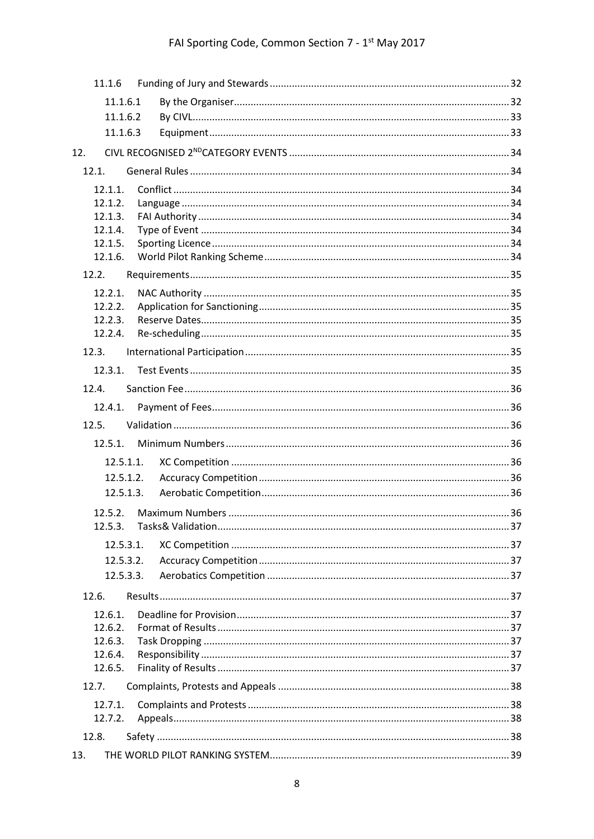| 11.1.6             |           |  |
|--------------------|-----------|--|
| 11.1.6.1           |           |  |
| 11.1.6.2           |           |  |
| 11.1.6.3           |           |  |
| 12.                |           |  |
| 12.1.              |           |  |
| 12.1.1.            |           |  |
| 12.1.2.            |           |  |
| 12.1.3.            |           |  |
| 12.1.4.<br>12.1.5. |           |  |
| 12.1.6.            |           |  |
| 12.2.              |           |  |
| 12.2.1.            |           |  |
| 12.2.2.            |           |  |
| 12.2.3.            |           |  |
| 12.2.4.            |           |  |
| 12.3.              |           |  |
| 12.3.1.            |           |  |
| 12.4.              |           |  |
| 12.4.1.            |           |  |
| 12.5.              |           |  |
| 12.5.1.            |           |  |
|                    | 12.5.1.1. |  |
|                    | 12.5.1.2. |  |
|                    | 12.5.1.3. |  |
|                    |           |  |
| 12.5.3.            |           |  |
|                    | 12.5.3.1. |  |
|                    | 12.5.3.2. |  |
|                    | 12.5.3.3. |  |
| 12.6.              |           |  |
| 12.6.1.            |           |  |
| 12.6.2.            |           |  |
| 12.6.3.            |           |  |
| 12.6.4.            |           |  |
| 12.6.5.            |           |  |
| 12.7.              |           |  |
| 12.7.1.<br>12.7.2. |           |  |
|                    |           |  |
| 12.8.              |           |  |
| 13.                |           |  |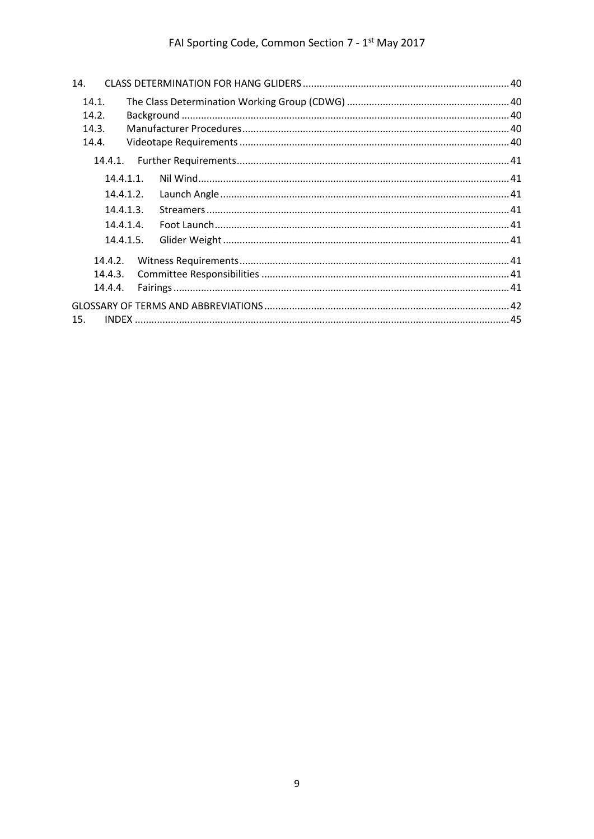| 14.          |  |  |
|--------------|--|--|
| 14.1.        |  |  |
| 14.2.        |  |  |
| 14.3.        |  |  |
| 14.4.        |  |  |
| 14.4.1.      |  |  |
| $14.4.1.1$ . |  |  |
| 14.4.1.2.    |  |  |
| 14.4.1.3.    |  |  |
| 14.4.1.4.    |  |  |
| 14.4.1.5.    |  |  |
| 14.4.2.      |  |  |
| 14.4.3.      |  |  |
| 14.4.4.      |  |  |
|              |  |  |
| 15.          |  |  |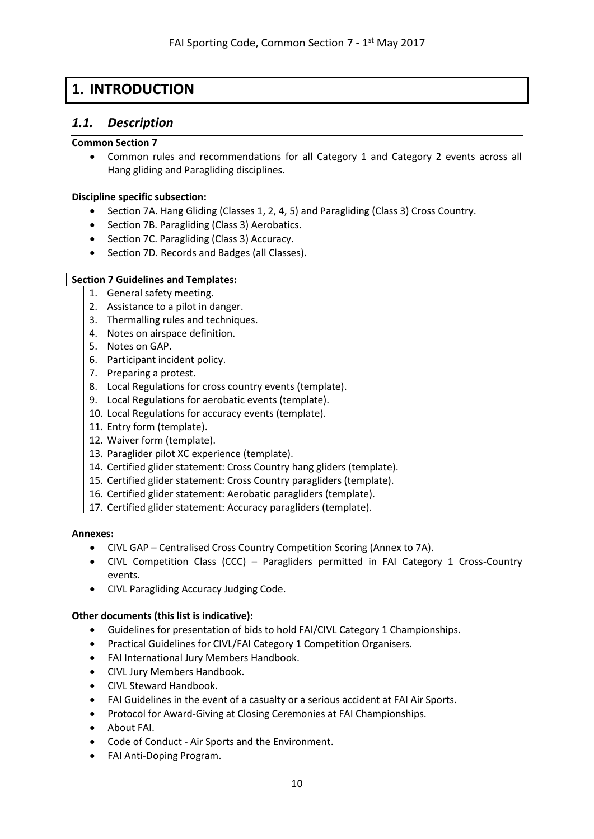# <span id="page-9-0"></span>**1. INTRODUCTION**

### <span id="page-9-1"></span>*1.1. Description*

#### **Common Section 7**

• Common rules and recommendations for all Category 1 and Category 2 events across all Hang gliding and Paragliding disciplines.

#### **Discipline specific subsection:**

- Section 7A. Hang Gliding (Classes 1, 2, 4, 5) and Paragliding (Class 3) Cross Country.
- Section 7B. Paragliding (Class 3) Aerobatics.
- Section 7C. Paragliding (Class 3) Accuracy.
- Section 7D. Records and Badges (all Classes).

#### **Section 7 Guidelines and Templates:**

- 1. General safety meeting.
- 2. Assistance to a pilot in danger.
- 3. Thermalling rules and techniques.
- 4. Notes on airspace definition.
- 5. Notes on GAP.
- 6. Participant incident policy.
- 7. Preparing a protest.
- 8. Local Regulations for cross country events (template).
- 9. Local Regulations for aerobatic events (template).
- 10. Local Regulations for accuracy events (template).
- 11. Entry form (template).
- 12. Waiver form (template).
- 13. Paraglider pilot XC experience (template).
- 14. Certified glider statement: Cross Country hang gliders (template).
- 15. Certified glider statement: Cross Country paragliders (template).
- 16. Certified glider statement: Aerobatic paragliders (template).
- 17. Certified glider statement: Accuracy paragliders (template).

#### **Annexes:**

- CIVL GAP Centralised Cross Country Competition Scoring (Annex to 7A).
- CIVL Competition Class (CCC) Paragliders permitted in FAI Category 1 Cross-Country events.
- CIVL Paragliding Accuracy Judging Code.

#### **Other documents (this list is indicative):**

- Guidelines for presentation of bids to hold FAI/CIVL Category 1 Championships.
- Practical Guidelines for CIVL/FAI Category 1 Competition Organisers.
- FAI International Jury Members Handbook.
- CIVL Jury Members Handbook.
- CIVL Steward Handbook.
- FAI Guidelines in the event of a casualty or a serious accident at FAI Air Sports.
- Protocol for Award-Giving at Closing Ceremonies at FAI Championships.
- [About FAI.](http://www.fai.org/downloads/fai/about_fai)
- Code of Conduct [Air Sports and the Environment.](http://www.fai.org/envc-projects/envc-code-of-conduct)
- [FAI Anti-Doping Program.](http://www.fai.org/cimp-anti-doping-programme)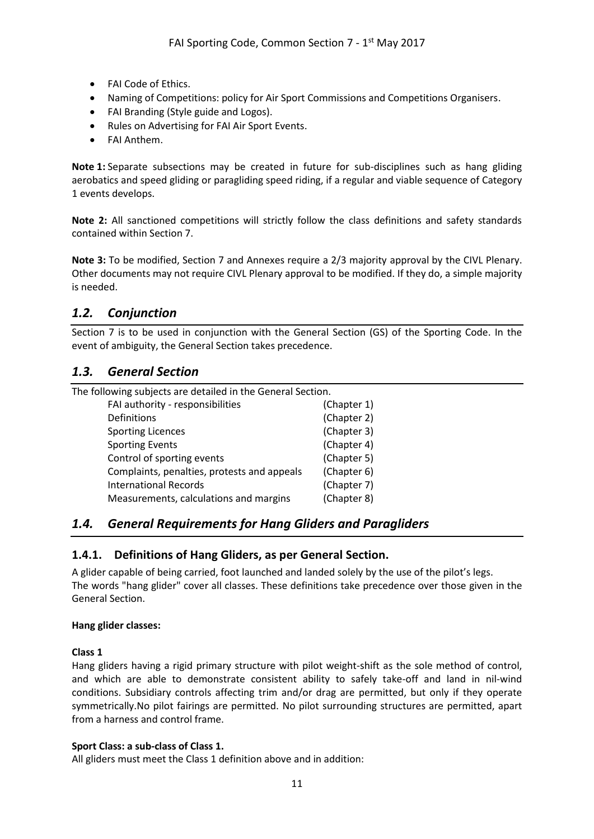- [FAI Code of Ethics.](http://www.fai.org/downloads/fai/code_of_ethics)
- [Naming of Competitions: policy for Air Sport Commissions and Competitions Organisers.](http://www.fai.org/downloads/fai/namingofcompetitions)
- [FAI Branding \(Style](http://www.fai.org/about-fai/fai-branding) guide and Logos).
- [Rules on Advertising for FAI Air Sport Events.](http://www.fai.org/downloads/fai/rules_on_advertising)
- [FAI Anthem.](http://www.fai.org/downloads/fai/anthem)

**Note 1:** Separate subsections may be created in future for sub-disciplines such as hang gliding aerobatics and speed gliding or paragliding speed riding, if a regular and viable sequence of Category 1 events develops.

**Note 2:** All sanctioned competitions will strictly follow the class definitions and safety standards contained within Section 7.

**Note 3:** To be modified, Section 7 and Annexes require a 2/3 majority approval by the CIVL Plenary. Other documents may not require CIVL Plenary approval to be modified. If they do, a simple majority is needed.

## <span id="page-10-0"></span>*1.2. Conjunction*

Section 7 is to be used in conjunction with the General Section (GS) of the Sporting Code. In the event of ambiguity, the General Section takes precedence.

### <span id="page-10-1"></span>*1.3. General Section*

The following subjects are detailed in the General Section.

| FAI authority - responsibilities            | (Chapter 1) |
|---------------------------------------------|-------------|
| Definitions                                 | (Chapter 2) |
| <b>Sporting Licences</b>                    | (Chapter 3) |
| <b>Sporting Events</b>                      | (Chapter 4) |
| Control of sporting events                  | (Chapter 5) |
| Complaints, penalties, protests and appeals | (Chapter 6) |
| <b>International Records</b>                | (Chapter 7) |
| Measurements, calculations and margins      | (Chapter 8) |
|                                             |             |

## <span id="page-10-2"></span>*1.4. General Requirements for Hang Gliders and Paragliders*

#### <span id="page-10-3"></span>**1.4.1. Definitions of Hang Gliders, as per General Section.**

A glider capable of being carried, foot launched and landed solely by the use of the pilot's legs. The words "hang glider" cover all classes. These definitions take precedence over those given in the General Section.

#### **Hang glider classes:**

#### **Class 1**

Hang gliders having a rigid primary structure with pilot weight-shift as the sole method of control, and which are able to demonstrate consistent ability to safely take-off and land in nil-wind conditions. Subsidiary controls affecting trim and/or drag are permitted, but only if they operate symmetrically.No pilot fairings are permitted. No pilot surrounding structures are permitted, apart from a harness and control frame.

#### **Sport Class: a sub-class of Class 1.**

All gliders must meet the Class 1 definition above and in addition: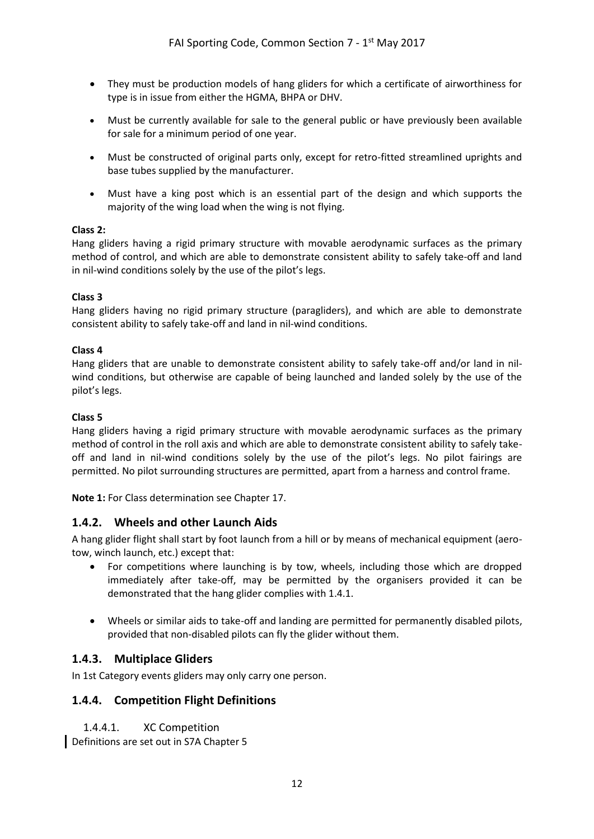- They must be production models of hang gliders for which a certificate of airworthiness for type is in issue from either the HGMA, BHPA or DHV.
- Must be currently available for sale to the general public or have previously been available for sale for a minimum period of one year.
- Must be constructed of original parts only, except for retro-fitted streamlined uprights and base tubes supplied by the manufacturer.
- Must have a king post which is an essential part of the design and which supports the majority of the wing load when the wing is not flying.

#### **Class 2:**

Hang gliders having a rigid primary structure with movable aerodynamic surfaces as the primary method of control, and which are able to demonstrate consistent ability to safely take-off and land in nil-wind conditions solely by the use of the pilot's legs.

#### **Class 3**

Hang gliders having no rigid primary structure (paragliders), and which are able to demonstrate consistent ability to safely take-off and land in nil-wind conditions.

#### **Class 4**

Hang gliders that are unable to demonstrate consistent ability to safely take-off and/or land in nilwind conditions, but otherwise are capable of being launched and landed solely by the use of the pilot's legs.

#### **Class 5**

Hang gliders having a rigid primary structure with movable aerodynamic surfaces as the primary method of control in the roll axis and which are able to demonstrate consistent ability to safely takeoff and land in nil-wind conditions solely by the use of the pilot's legs. No pilot fairings are permitted. No pilot surrounding structures are permitted, apart from a harness and control frame.

**Note 1:** For Class determination see Chapter 17.

#### <span id="page-11-0"></span>**1.4.2. Wheels and other Launch Aids**

A hang glider flight shall start by foot launch from a hill or by means of mechanical equipment (aerotow, winch launch, etc.) except that:

- For competitions where launching is by tow, wheels, including those which are dropped immediately after take-off, may be permitted by the organisers provided it can be demonstrated that the hang glider complies with 1.4.1.
- Wheels or similar aids to take-off and landing are permitted for permanently disabled pilots, provided that non-disabled pilots can fly the glider without them.

#### <span id="page-11-1"></span>**1.4.3. Multiplace Gliders**

<span id="page-11-2"></span>In 1st Category events gliders may only carry one person.

#### <span id="page-11-3"></span>**1.4.4. Competition Flight Definitions**

#### 1.4.4.1. XC Competition

Definitions are set out in S7A Chapter 5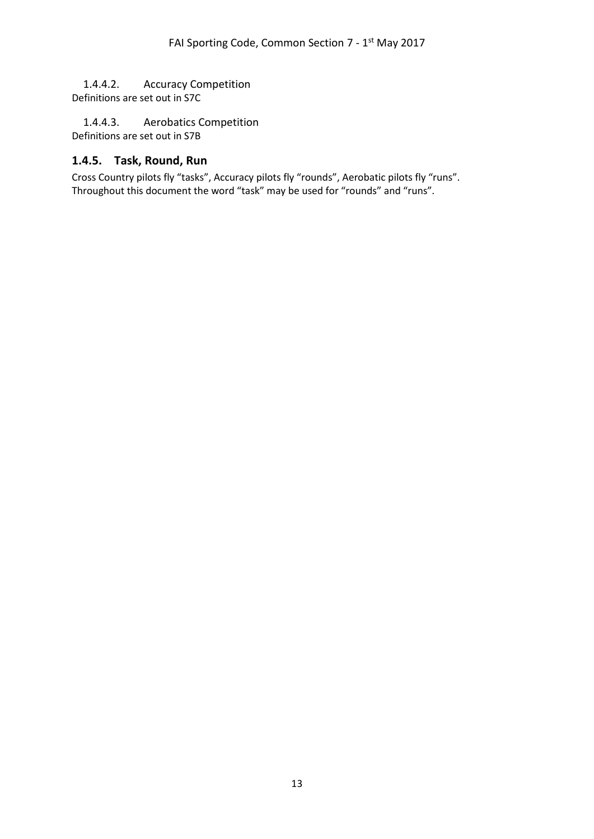## <span id="page-12-0"></span>1.4.4.2. Accuracy Competition

Definitions are set out in S7C

<span id="page-12-1"></span>1.4.4.3. Aerobatics Competition Definitions are set out in S7B

### <span id="page-12-2"></span>**1.4.5. Task, Round, Run**

Cross Country pilots fly "tasks", Accuracy pilots fly "rounds", Aerobatic pilots fly "runs". Throughout this document the word "task" may be used for "rounds" and "runs".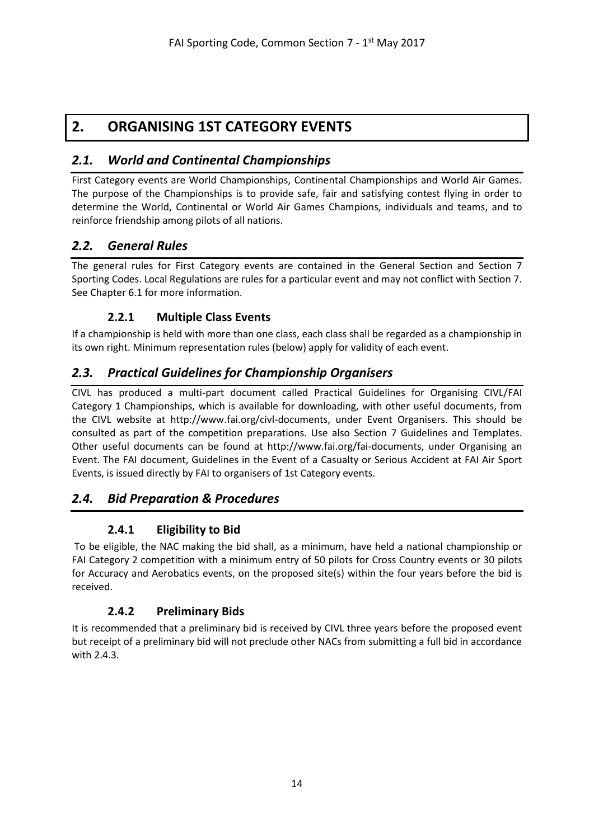# <span id="page-13-0"></span>**2. ORGANISING 1ST CATEGORY EVENTS**

## <span id="page-13-1"></span>*2.1. World and Continental Championships*

First Category events are World Championships, Continental Championships and World Air Games. The purpose of the Championships is to provide safe, fair and satisfying contest flying in order to determine the World, Continental or World Air Games Champions, individuals and teams, and to reinforce friendship among pilots of all nations.

## <span id="page-13-2"></span>*2.2. General Rules*

The general rules for First Category events are contained in the General Section and Section 7 Sporting Codes. Local Regulations are rules for a particular event and may not conflict with Section 7. See Chapter 6.1 for more information.

## **2.2.1 Multiple Class Events**

<span id="page-13-3"></span>If a championship is held with more than one class, each class shall be regarded as a championship in its own right. Minimum representation rules (below) apply for validity of each event.

## <span id="page-13-4"></span>*2.3. Practical Guidelines for Championship Organisers*

CIVL has produced a multi-part document called Practical Guidelines for Organising CIVL/FAI Category 1 Championships, which is available for downloading, with other useful documents, from the CIVL website at http://www.fai.org/civl-documents, under Event Organisers. This should be consulted as part of the competition preparations. Use also Section 7 Guidelines and Templates. Other useful documents can be found at [http://www.fai.org/fai-documents,](http://www.fai.org/fai-documents) under Organising an Event. The FAI document, Guidelines in the Event of a Casualty or Serious Accident at FAI Air Sport Events, is issued directly by FAI to organisers of 1st Category events.

## <span id="page-13-6"></span><span id="page-13-5"></span>*2.4. Bid Preparation & Procedures*

## **2.4.1 Eligibility to Bid**

To be eligible, the NAC making the bid shall, as a minimum, have held a national championship or FAI Category 2 competition with a minimum entry of 50 pilots for Cross Country events or 30 pilots for Accuracy and Aerobatics events, on the proposed site(s) within the four years before the bid is received.

## **2.4.2 Preliminary Bids**

<span id="page-13-7"></span>It is recommended that a preliminary bid is received by CIVL three years before the proposed event but receipt of a preliminary bid will not preclude other NACs from submitting a full bid in accordance with 2.4.3.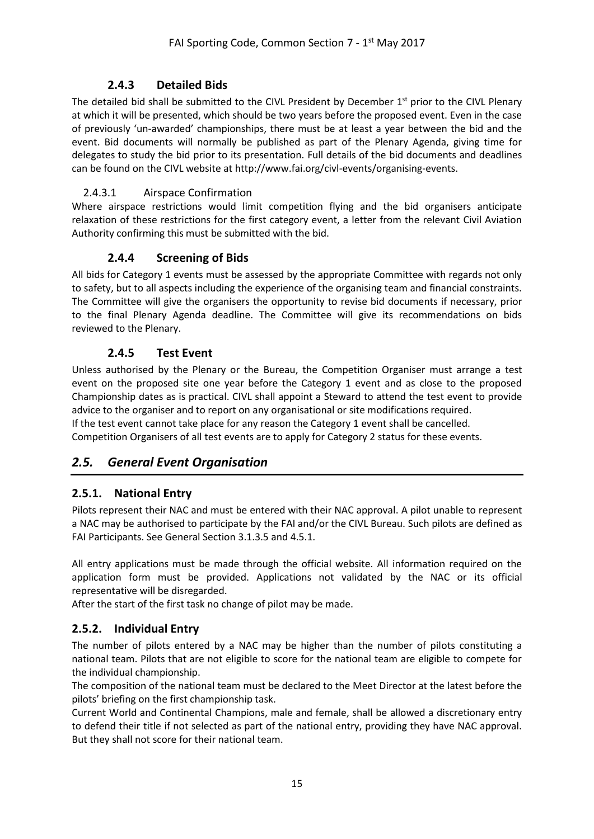## **2.4.3 Detailed Bids**

<span id="page-14-0"></span>The detailed bid shall be submitted to the CIVL President by December 1<sup>st</sup> prior to the CIVL Plenary at which it will be presented, which should be two years before the proposed event. Even in the case of previously 'un-awarded' championships, there must be at least a year between the bid and the event. Bid documents will normally be published as part of the Plenary Agenda, giving time for delegates to study the bid prior to its presentation. Full details of the bid documents and deadlines can be found on the CIVL website at [http://www.fai.org/civl-events/organising-events.](http://www.fai.org/civl-events/organising-events)

### <span id="page-14-1"></span>2.4.3.1 Airspace Confirmation

Where airspace restrictions would limit competition flying and the bid organisers anticipate relaxation of these restrictions for the first category event, a letter from the relevant Civil Aviation Authority confirming this must be submitted with the bid.

## **2.4.4 Screening of Bids**

<span id="page-14-2"></span>All bids for Category 1 events must be assessed by the appropriate Committee with regards not only to safety, but to all aspects including the experience of the organising team and financial constraints. The Committee will give the organisers the opportunity to revise bid documents if necessary, prior to the final Plenary Agenda deadline. The Committee will give its recommendations on bids reviewed to the Plenary.

### **2.4.5 Test Event**

<span id="page-14-3"></span>Unless authorised by the Plenary or the Bureau, the Competition Organiser must arrange a test event on the proposed site one year before the Category 1 event and as close to the proposed Championship dates as is practical. CIVL shall appoint a Steward to attend the test event to provide advice to the organiser and to report on any organisational or site modifications required. If the test event cannot take place for any reason the Category 1 event shall be cancelled. Competition Organisers of all test events are to apply for Category 2 status for these events.

## <span id="page-14-4"></span>*2.5. General Event Organisation*

## <span id="page-14-5"></span>**2.5.1. National Entry**

Pilots represent their NAC and must be entered with their NAC approval. A pilot unable to represent a NAC may be authorised to participate by the FAI and/or the CIVL Bureau. Such pilots are defined as FAI Participants. See General Section 3.1.3.5 and 4.5.1.

All entry applications must be made through the official website. All information required on the application form must be provided. Applications not validated by the NAC or its official representative will be disregarded.

After the start of the first task no change of pilot may be made.

## <span id="page-14-6"></span>**2.5.2. Individual Entry**

The number of pilots entered by a NAC may be higher than the number of pilots constituting a national team. Pilots that are not eligible to score for the national team are eligible to compete for the individual championship.

The composition of the national team must be declared to the Meet Director at the latest before the pilots' briefing on the first championship task.

Current World and Continental Champions, male and female, shall be allowed a discretionary entry to defend their title if not selected as part of the national entry, providing they have NAC approval. But they shall not score for their national team.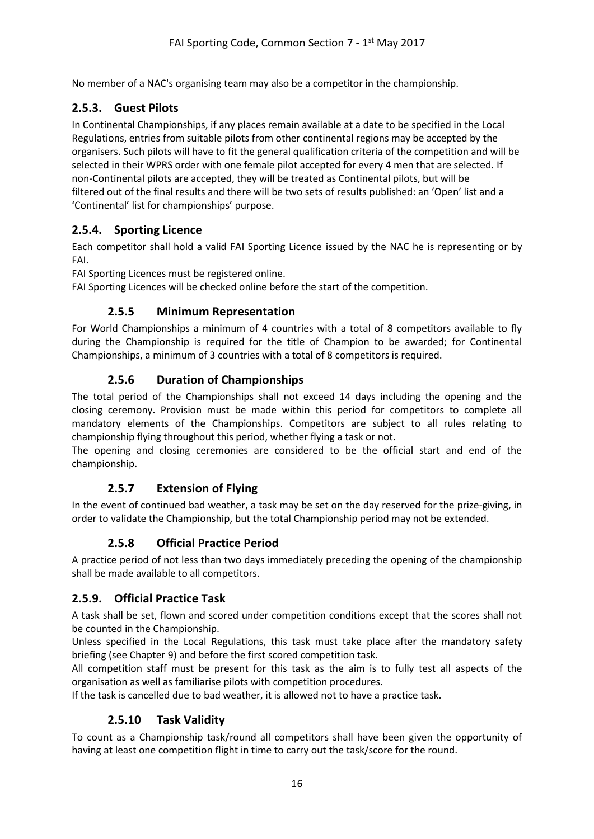No member of a NAC's organising team may also be a competitor in the championship.

## <span id="page-15-0"></span>**2.5.3. Guest Pilots**

In Continental Championships, if any places remain available at a date to be specified in the Local Regulations, entries from suitable pilots from other continental regions may be accepted by the organisers. Such pilots will have to fit the general qualification criteria of the competition and will be selected in their WPRS order with one female pilot accepted for every 4 men that are selected. If non-Continental pilots are accepted, they will be treated as Continental pilots, but will be filtered out of the final results and there will be two sets of results published: an 'Open' list and a 'Continental' list for championships' purpose.

## <span id="page-15-1"></span>**2.5.4. Sporting Licence**

Each competitor shall hold a valid FAI Sporting Licence issued by the NAC he is representing or by FAI.

FAI Sporting Licences must be registered online.

<span id="page-15-2"></span>FAI Sporting Licences will be checked online before the start of the competition.

### **2.5.5 Minimum Representation**

For World Championships a minimum of 4 countries with a total of 8 competitors available to fly during the Championship is required for the title of Champion to be awarded; for Continental Championships, a minimum of 3 countries with a total of 8 competitors is required.

### **2.5.6 Duration of Championships**

<span id="page-15-3"></span>The total period of the Championships shall not exceed 14 days including the opening and the closing ceremony. Provision must be made within this period for competitors to complete all mandatory elements of the Championships. Competitors are subject to all rules relating to championship flying throughout this period, whether flying a task or not.

<span id="page-15-4"></span>The opening and closing ceremonies are considered to be the official start and end of the championship.

## **2.5.7 Extension of Flying**

<span id="page-15-5"></span>In the event of continued bad weather, a task may be set on the day reserved for the prize-giving, in order to validate the Championship, but the total Championship period may not be extended.

## **2.5.8 Official Practice Period**

A practice period of not less than two days immediately preceding the opening of the championship shall be made available to all competitors.

#### <span id="page-15-6"></span>**2.5.9. Official Practice Task**

A task shall be set, flown and scored under competition conditions except that the scores shall not be counted in the Championship.

Unless specified in the Local Regulations, this task must take place after the mandatory safety briefing (see Chapter 9) and before the first scored competition task.

All competition staff must be present for this task as the aim is to fully test all aspects of the organisation as well as familiarise pilots with competition procedures.

<span id="page-15-7"></span>If the task is cancelled due to bad weather, it is allowed not to have a practice task.

## **2.5.10 Task Validity**

To count as a Championship task/round all competitors shall have been given the opportunity of having at least one competition flight in time to carry out the task/score for the round.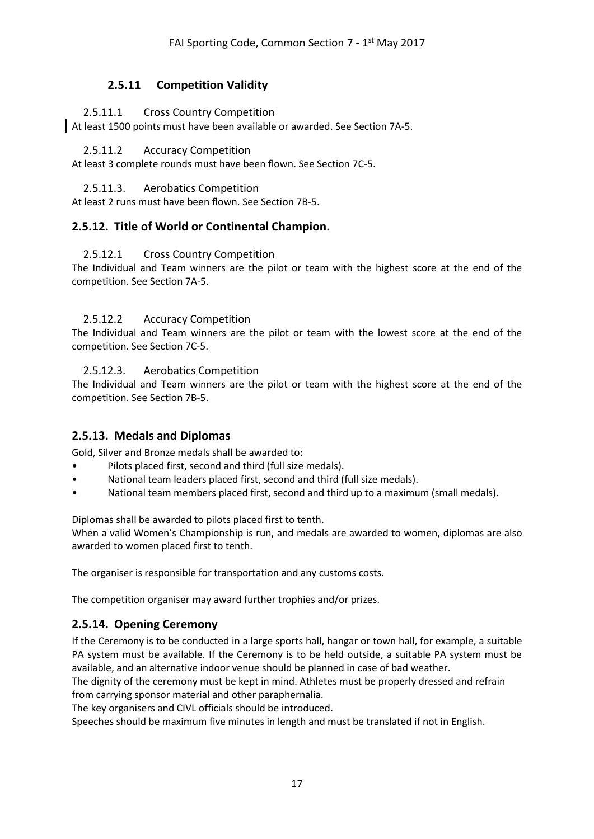### **2.5.11 Competition Validity**

#### <span id="page-16-1"></span><span id="page-16-0"></span>2.5.11.1 Cross Country Competition

<span id="page-16-2"></span>At least 1500 points must have been available or awarded. See Section 7A-5.

#### 2.5.11.2 Accuracy Competition

<span id="page-16-3"></span>At least 3 complete rounds must have been flown. See Section 7C-5.

#### 2.5.11.3. Aerobatics Competition

At least 2 runs must have been flown. See Section 7B-5.

#### <span id="page-16-5"></span><span id="page-16-4"></span>**2.5.12. Title of World or Continental Champion.**

#### 2.5.12.1 Cross Country Competition

The Individual and Team winners are the pilot or team with the highest score at the end of the competition. See Section 7A-5.

#### <span id="page-16-6"></span>2.5.12.2 Accuracy Competition

The Individual and Team winners are the pilot or team with the lowest score at the end of the competition. See Section 7C-5.

#### <span id="page-16-7"></span>2.5.12.3. Aerobatics Competition

The Individual and Team winners are the pilot or team with the highest score at the end of the competition. See Section 7B-5.

#### <span id="page-16-8"></span>**2.5.13. Medals and Diplomas**

Gold, Silver and Bronze medals shall be awarded to:

- Pilots placed first, second and third (full size medals).
- National team leaders placed first, second and third (full size medals).
- National team members placed first, second and third up to a maximum (small medals).

Diplomas shall be awarded to pilots placed first to tenth.

When a valid Women's Championship is run, and medals are awarded to women, diplomas are also awarded to women placed first to tenth.

The organiser is responsible for transportation and any customs costs.

The competition organiser may award further trophies and/or prizes.

#### <span id="page-16-9"></span>**2.5.14. Opening Ceremony**

If the Ceremony is to be conducted in a large sports hall, hangar or town hall, for example, a suitable PA system must be available. If the Ceremony is to be held outside, a suitable PA system must be available, and an alternative indoor venue should be planned in case of bad weather.

The dignity of the ceremony must be kept in mind. Athletes must be properly dressed and refrain from carrying sponsor material and other paraphernalia.

The key organisers and CIVL officials should be introduced.

Speeches should be maximum five minutes in length and must be translated if not in English.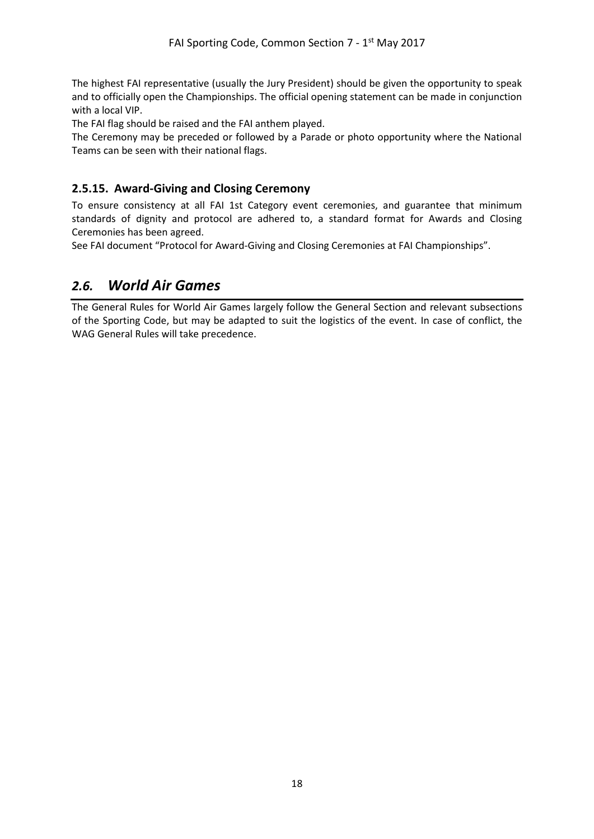The highest FAI representative (usually the Jury President) should be given the opportunity to speak and to officially open the Championships. The official opening statement can be made in conjunction with a local VIP.

The FAI flag should be raised and the FAI anthem played.

The Ceremony may be preceded or followed by a Parade or photo opportunity where the National Teams can be seen with their national flags.

### <span id="page-17-0"></span>**2.5.15. Award-Giving and Closing Ceremony**

To ensure consistency at all FAI 1st Category event ceremonies, and guarantee that minimum standards of dignity and protocol are adhered to, a standard format for Awards and Closing Ceremonies has been agreed.

See FAI document "Protocol for Award-Giving and Closing Ceremonies at FAI Championships".

## <span id="page-17-1"></span>*2.6. World Air Games*

The General Rules for World Air Games largely follow the General Section and relevant subsections of the Sporting Code, but may be adapted to suit the logistics of the event. In case of conflict, the WAG General Rules will take precedence.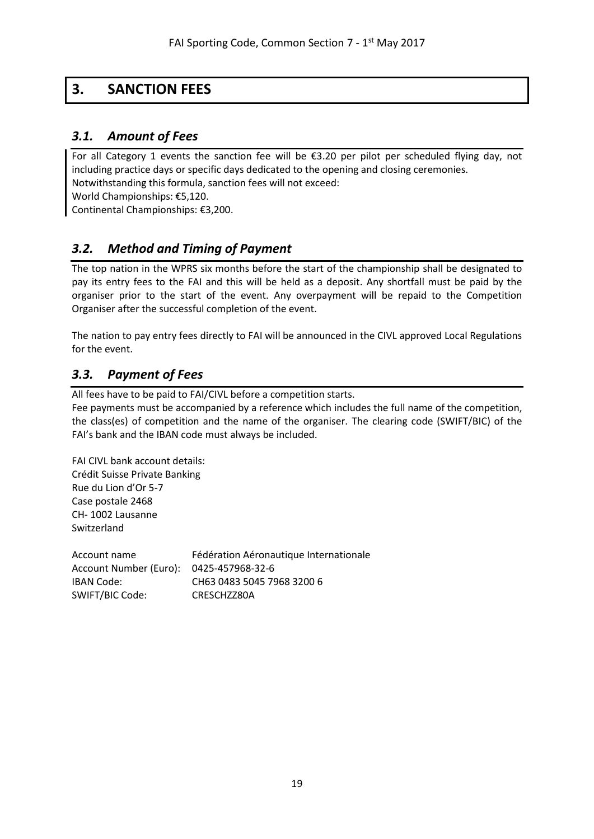# <span id="page-18-0"></span>**3. SANCTION FEES**

## <span id="page-18-1"></span>*3.1. Amount of Fees*

For all Category 1 events the sanction fee will be €3.20 per pilot per scheduled flying day, not including practice days or specific days dedicated to the opening and closing ceremonies. Notwithstanding this formula, sanction fees will not exceed:

World Championships: €5,120.

Continental Championships: €3,200.

## <span id="page-18-2"></span>*3.2. Method and Timing of Payment*

The top nation in the WPRS six months before the start of the championship shall be designated to pay its entry fees to the FAI and this will be held as a deposit. Any shortfall must be paid by the organiser prior to the start of the event. Any overpayment will be repaid to the Competition Organiser after the successful completion of the event.

The nation to pay entry fees directly to FAI will be announced in the CIVL approved Local Regulations for the event.

## <span id="page-18-3"></span>*3.3. Payment of Fees*

All fees have to be paid to FAI/CIVL before a competition starts.

Fee payments must be accompanied by a reference which includes the full name of the competition, the class(es) of competition and the name of the organiser. The clearing code (SWIFT/BIC) of the FAI's bank and the IBAN code must always be included.

FAI CIVL bank account details: Crédit Suisse Private Banking Rue du Lion d'Or 5-7 Case postale 2468 CH- 1002 Lausanne Switzerland

| Account name                            | Fédération Aéronautique Internationale |
|-----------------------------------------|----------------------------------------|
| Account Number (Euro): 0425-457968-32-6 |                                        |
| IBAN Code:                              | CH63 0483 5045 7968 3200 6             |
| SWIFT/BIC Code:                         | CRESCHZZ80A                            |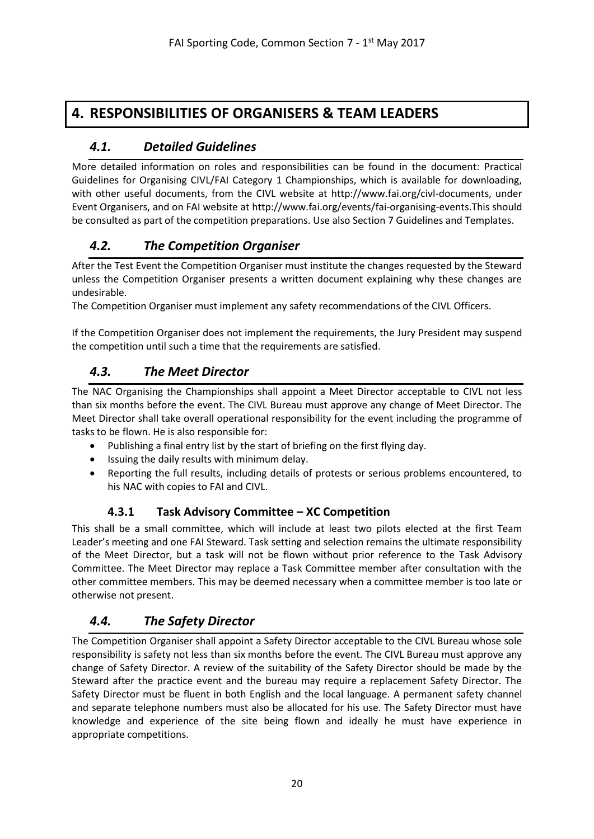## <span id="page-19-0"></span>**4. RESPONSIBILITIES OF ORGANISERS & TEAM LEADERS**

## <span id="page-19-1"></span>*4.1. Detailed Guidelines*

More detailed information on roles and responsibilities can be found in the document: Practical Guidelines for Organising CIVL/FAI Category 1 Championships, which is available for downloading, with other useful documents, from the CIVL website at http://www.fai.org/civl-documents, under Event Organisers, and on FAI website a[t http://www.fai.org/events/fai-organising-events.](http://www.fai.org/events/fai-organising-events)This should be consulted as part of the competition preparations. Use also Section 7 Guidelines and Templates.

## <span id="page-19-2"></span>*4.2. The Competition Organiser*

After the Test Event the Competition Organiser must institute the changes requested by the Steward unless the Competition Organiser presents a written document explaining why these changes are undesirable.

The Competition Organiser must implement any safety recommendations of the CIVL Officers.

If the Competition Organiser does not implement the requirements, the Jury President may suspend the competition until such a time that the requirements are satisfied.

## <span id="page-19-3"></span>*4.3. The Meet Director*

The NAC Organising the Championships shall appoint a Meet Director acceptable to CIVL not less than six months before the event. The CIVL Bureau must approve any change of Meet Director. The Meet Director shall take overall operational responsibility for the event including the programme of tasks to be flown. He is also responsible for:

- Publishing a final entry list by the start of briefing on the first flying day.
- Issuing the daily results with minimum delay.
- Reporting the full results, including details of protests or serious problems encountered, to his NAC with copies to FAI and CIVL.

## **4.3.1 Task Advisory Committee – XC Competition**

<span id="page-19-4"></span>This shall be a small committee, which will include at least two pilots elected at the first Team Leader's meeting and one FAI Steward. Task setting and selection remains the ultimate responsibility of the Meet Director, but a task will not be flown without prior reference to the Task Advisory Committee. The Meet Director may replace a Task Committee member after consultation with the other committee members. This may be deemed necessary when a committee member is too late or otherwise not present.

## <span id="page-19-5"></span>*4.4. The Safety Director*

The Competition Organiser shall appoint a Safety Director acceptable to the CIVL Bureau whose sole responsibility is safety not less than six months before the event. The CIVL Bureau must approve any change of Safety Director. A review of the suitability of the Safety Director should be made by the Steward after the practice event and the bureau may require a replacement Safety Director. The Safety Director must be fluent in both English and the local language. A permanent safety channel and separate telephone numbers must also be allocated for his use. The Safety Director must have knowledge and experience of the site being flown and ideally he must have experience in appropriate competitions.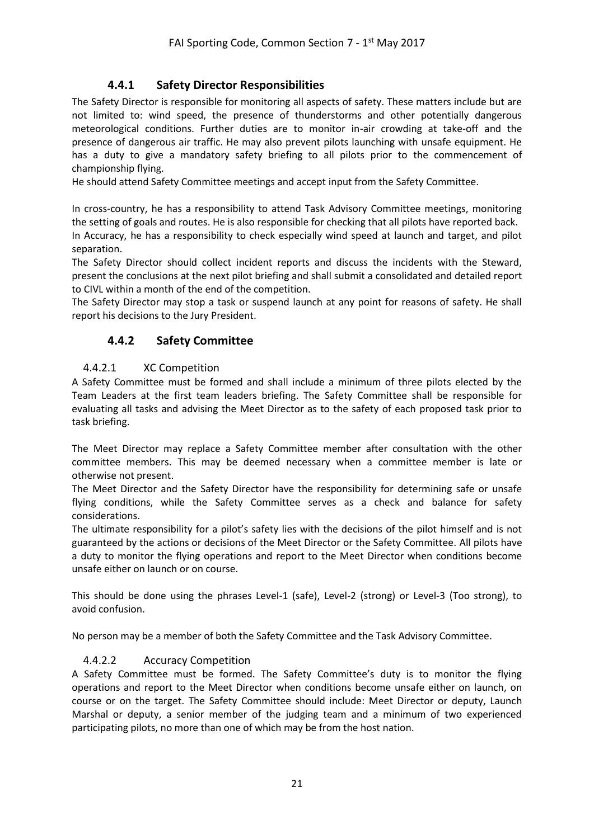## **4.4.1 Safety Director Responsibilities**

<span id="page-20-0"></span>The Safety Director is responsible for monitoring all aspects of safety. These matters include but are not limited to: wind speed, the presence of thunderstorms and other potentially dangerous meteorological conditions. Further duties are to monitor in-air crowding at take-off and the presence of dangerous air traffic. He may also prevent pilots launching with unsafe equipment. He has a duty to give a mandatory safety briefing to all pilots prior to the commencement of championship flying.

He should attend Safety Committee meetings and accept input from the Safety Committee.

In cross-country, he has a responsibility to attend Task Advisory Committee meetings, monitoring the setting of goals and routes. He is also responsible for checking that all pilots have reported back. In Accuracy, he has a responsibility to check especially wind speed at launch and target, and pilot separation.

The Safety Director should collect incident reports and discuss the incidents with the Steward, present the conclusions at the next pilot briefing and shall submit a consolidated and detailed report to CIVL within a month of the end of the competition.

<span id="page-20-1"></span>The Safety Director may stop a task or suspend launch at any point for reasons of safety. He shall report his decisions to the Jury President.

### **4.4.2 Safety Committee**

#### <span id="page-20-2"></span>4.4.2.1 XC Competition

A Safety Committee must be formed and shall include a minimum of three pilots elected by the Team Leaders at the first team leaders briefing. The Safety Committee shall be responsible for evaluating all tasks and advising the Meet Director as to the safety of each proposed task prior to task briefing.

The Meet Director may replace a Safety Committee member after consultation with the other committee members. This may be deemed necessary when a committee member is late or otherwise not present.

The Meet Director and the Safety Director have the responsibility for determining safe or unsafe flying conditions, while the Safety Committee serves as a check and balance for safety considerations.

The ultimate responsibility for a pilot's safety lies with the decisions of the pilot himself and is not guaranteed by the actions or decisions of the Meet Director or the Safety Committee. All pilots have a duty to monitor the flying operations and report to the Meet Director when conditions become unsafe either on launch or on course.

This should be done using the phrases Level-1 (safe), Level-2 (strong) or Level-3 (Too strong), to avoid confusion.

<span id="page-20-3"></span>No person may be a member of both the Safety Committee and the Task Advisory Committee.

#### 4.4.2.2 Accuracy Competition

A Safety Committee must be formed. The Safety Committee's duty is to monitor the flying operations and report to the Meet Director when conditions become unsafe either on launch, on course or on the target. The Safety Committee should include: Meet Director or deputy, Launch Marshal or deputy, a senior member of the judging team and a minimum of two experienced participating pilots, no more than one of which may be from the host nation.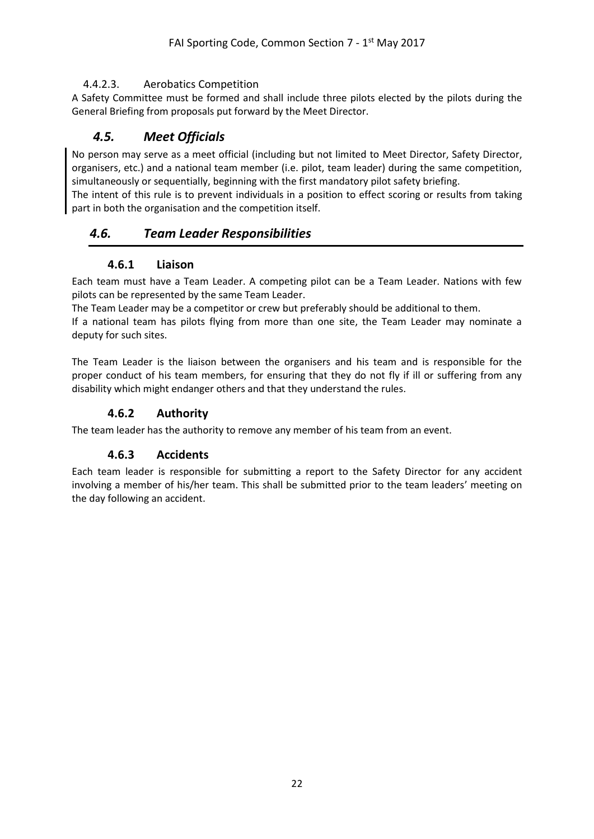#### <span id="page-21-0"></span>4.4.2.3. Aerobatics Competition

A Safety Committee must be formed and shall include three pilots elected by the pilots during the General Briefing from proposals put forward by the Meet Director.

## <span id="page-21-1"></span>*4.5. Meet Officials*

No person may serve as a meet official (including but not limited to Meet Director, Safety Director, organisers, etc.) and a national team member (i.e. pilot, team leader) during the same competition, simultaneously or sequentially, beginning with the first mandatory pilot safety briefing.

The intent of this rule is to prevent individuals in a position to effect scoring or results from taking part in both the organisation and the competition itself.

## <span id="page-21-2"></span>*4.6. Team Leader Responsibilities*

#### **4.6.1 Liaison**

<span id="page-21-3"></span>Each team must have a Team Leader. A competing pilot can be a Team Leader. Nations with few pilots can be represented by the same Team Leader.

The Team Leader may be a competitor or crew but preferably should be additional to them.

If a national team has pilots flying from more than one site, the Team Leader may nominate a deputy for such sites.

The Team Leader is the liaison between the organisers and his team and is responsible for the proper conduct of his team members, for ensuring that they do not fly if ill or suffering from any disability which might endanger others and that they understand the rules.

### **4.6.2 Authority**

<span id="page-21-5"></span><span id="page-21-4"></span>The team leader has the authority to remove any member of his team from an event.

#### **4.6.3 Accidents**

Each team leader is responsible for submitting a report to the Safety Director for any accident involving a member of his/her team. This shall be submitted prior to the team leaders' meeting on the day following an accident.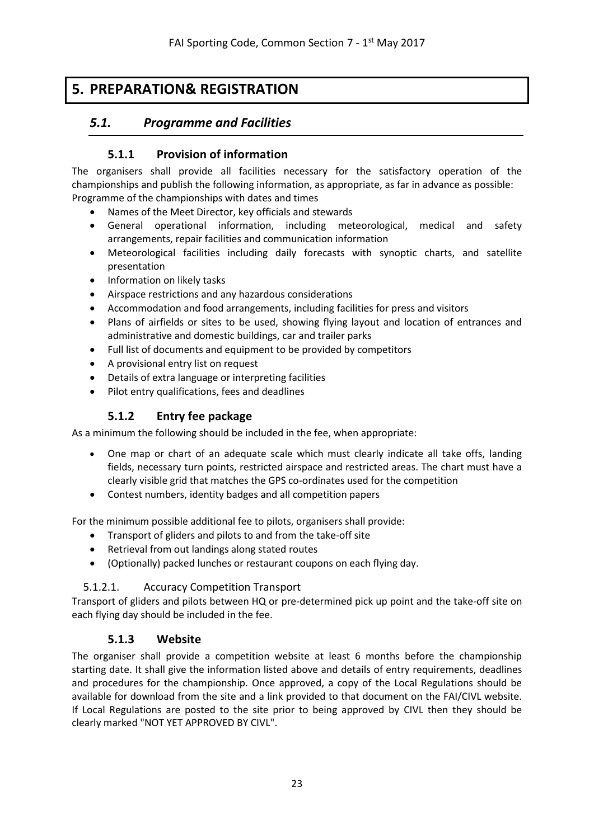# <span id="page-22-1"></span><span id="page-22-0"></span>**5. PREPARATION& REGISTRATION**

## <span id="page-22-2"></span>*5.1. Programme and Facilities*

### **5.1.1 Provision of information**

The organisers shall provide all facilities necessary for the satisfactory operation of the championships and publish the following information, as appropriate, as far in advance as possible: Programme of the championships with dates and times

- Names of the Meet Director, key officials and stewards
- General operational information, including meteorological, medical and safety arrangements, repair facilities and communication information
- Meteorological facilities including daily forecasts with synoptic charts, and satellite presentation
- Information on likely tasks
- Airspace restrictions and any hazardous considerations
- Accommodation and food arrangements, including facilities for press and visitors
- Plans of airfields or sites to be used, showing flying layout and location of entrances and administrative and domestic buildings, car and trailer parks
- Full list of documents and equipment to be provided by competitors
- A provisional entry list on request
- Details of extra language or interpreting facilities
- <span id="page-22-3"></span>• Pilot entry qualifications, fees and deadlines

### **5.1.2 Entry fee package**

As a minimum the following should be included in the fee, when appropriate:

- One map or chart of an adequate scale which must clearly indicate all take offs, landing fields, necessary turn points, restricted airspace and restricted areas. The chart must have a clearly visible grid that matches the GPS co-ordinates used for the competition
- Contest numbers, identity badges and all competition papers

For the minimum possible additional fee to pilots, organisers shall provide:

- Transport of gliders and pilots to and from the take-off site
- Retrieval from out landings along stated routes
- (Optionally) packed lunches or restaurant coupons on each flying day.

#### <span id="page-22-4"></span>5.1.2.1. Accuracy Competition Transport

<span id="page-22-5"></span>Transport of gliders and pilots between HQ or pre-determined pick up point and the take-off site on each flying day should be included in the fee.

#### **5.1.3 Website**

The organiser shall provide a competition website at least 6 months before the championship starting date. It shall give the information listed above and details of entry requirements, deadlines and procedures for the championship. Once approved, a copy of the Local Regulations should be available for download from the site and a link provided to that document on the FAI/CIVL website. If Local Regulations are posted to the site prior to being approved by CIVL then they should be clearly marked "NOT YET APPROVED BY CIVL".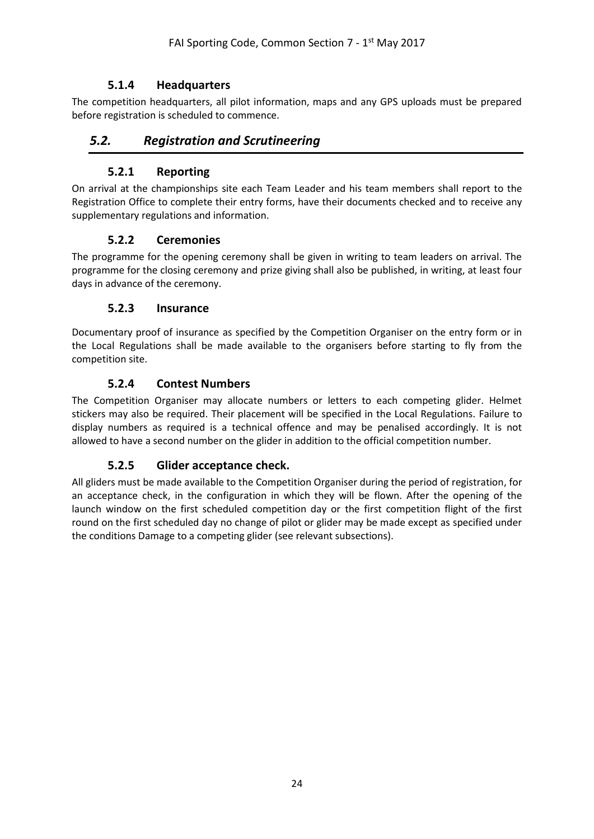## **5.1.4 Headquarters**

<span id="page-23-0"></span>The competition headquarters, all pilot information, maps and any GPS uploads must be prepared before registration is scheduled to commence.

## <span id="page-23-1"></span>*5.2. Registration and Scrutineering*

#### **5.2.1 Reporting**

<span id="page-23-2"></span>On arrival at the championships site each Team Leader and his team members shall report to the Registration Office to complete their entry forms, have their documents checked and to receive any supplementary regulations and information.

#### **5.2.2 Ceremonies**

<span id="page-23-3"></span>The programme for the opening ceremony shall be given in writing to team leaders on arrival. The programme for the closing ceremony and prize giving shall also be published, in writing, at least four days in advance of the ceremony.

#### **5.2.3 Insurance**

<span id="page-23-4"></span>Documentary proof of insurance as specified by the Competition Organiser on the entry form or in the Local Regulations shall be made available to the organisers before starting to fly from the competition site.

### **5.2.4 Contest Numbers**

<span id="page-23-5"></span>The Competition Organiser may allocate numbers or letters to each competing glider. Helmet stickers may also be required. Their placement will be specified in the Local Regulations. Failure to display numbers as required is a technical offence and may be penalised accordingly. It is not allowed to have a second number on the glider in addition to the official competition number.

#### **5.2.5 Glider acceptance check.**

<span id="page-23-6"></span>All gliders must be made available to the Competition Organiser during the period of registration, for an acceptance check, in the configuration in which they will be flown. After the opening of the launch window on the first scheduled competition day or the first competition flight of the first round on the first scheduled day no change of pilot or glider may be made except as specified under the conditions Damage to a competing glider (see relevant subsections).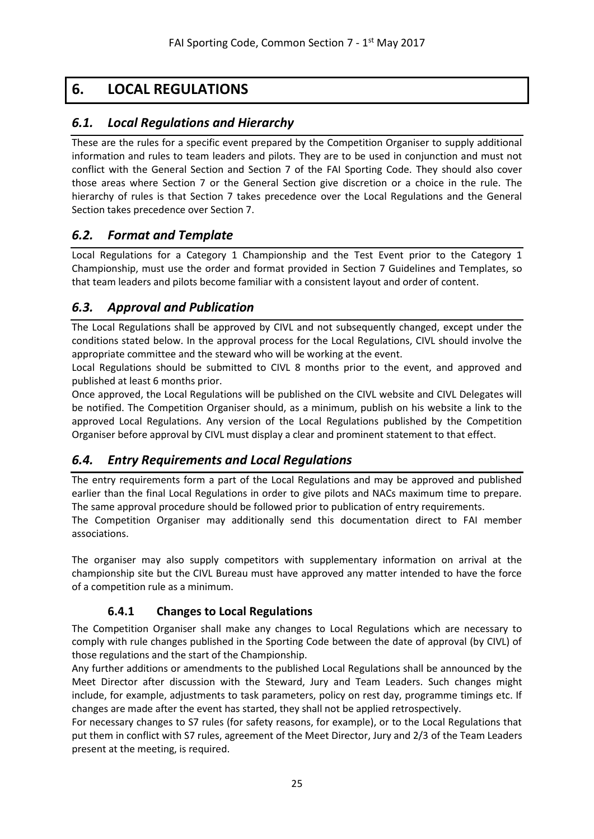# <span id="page-24-0"></span>**6. LOCAL REGULATIONS**

## <span id="page-24-1"></span>*6.1. Local Regulations and Hierarchy*

These are the rules for a specific event prepared by the Competition Organiser to supply additional information and rules to team leaders and pilots. They are to be used in conjunction and must not conflict with the General Section and Section 7 of the FAI Sporting Code. They should also cover those areas where Section 7 or the General Section give discretion or a choice in the rule. The hierarchy of rules is that Section 7 takes precedence over the Local Regulations and the General Section takes precedence over Section 7.

## <span id="page-24-2"></span>*6.2. Format and Template*

Local Regulations for a Category 1 Championship and the Test Event prior to the Category 1 Championship, must use the order and format provided in Section 7 Guidelines and Templates, so that team leaders and pilots become familiar with a consistent layout and order of content.

## <span id="page-24-3"></span>*6.3. Approval and Publication*

The Local Regulations shall be approved by CIVL and not subsequently changed, except under the conditions stated below. In the approval process for the Local Regulations, CIVL should involve the appropriate committee and the steward who will be working at the event.

Local Regulations should be submitted to CIVL 8 months prior to the event, and approved and published at least 6 months prior.

Once approved, the Local Regulations will be published on the CIVL website and CIVL Delegates will be notified. The Competition Organiser should, as a minimum, publish on his website a link to the approved Local Regulations. Any version of the Local Regulations published by the Competition Organiser before approval by CIVL must display a clear and prominent statement to that effect.

## <span id="page-24-4"></span>*6.4. Entry Requirements and Local Regulations*

The entry requirements form a part of the Local Regulations and may be approved and published earlier than the final Local Regulations in order to give pilots and NACs maximum time to prepare. The same approval procedure should be followed prior to publication of entry requirements. The Competition Organiser may additionally send this documentation direct to FAI member associations.

The organiser may also supply competitors with supplementary information on arrival at the championship site but the CIVL Bureau must have approved any matter intended to have the force of a competition rule as a minimum.

## **6.4.1 Changes to Local Regulations**

<span id="page-24-5"></span>The Competition Organiser shall make any changes to Local Regulations which are necessary to comply with rule changes published in the Sporting Code between the date of approval (by CIVL) of those regulations and the start of the Championship.

Any further additions or amendments to the published Local Regulations shall be announced by the Meet Director after discussion with the Steward, Jury and Team Leaders. Such changes might include, for example, adjustments to task parameters, policy on rest day, programme timings etc. If changes are made after the event has started, they shall not be applied retrospectively.

For necessary changes to S7 rules (for safety reasons, for example), or to the Local Regulations that put them in conflict with S7 rules, agreement of the Meet Director, Jury and 2/3 of the Team Leaders present at the meeting, is required.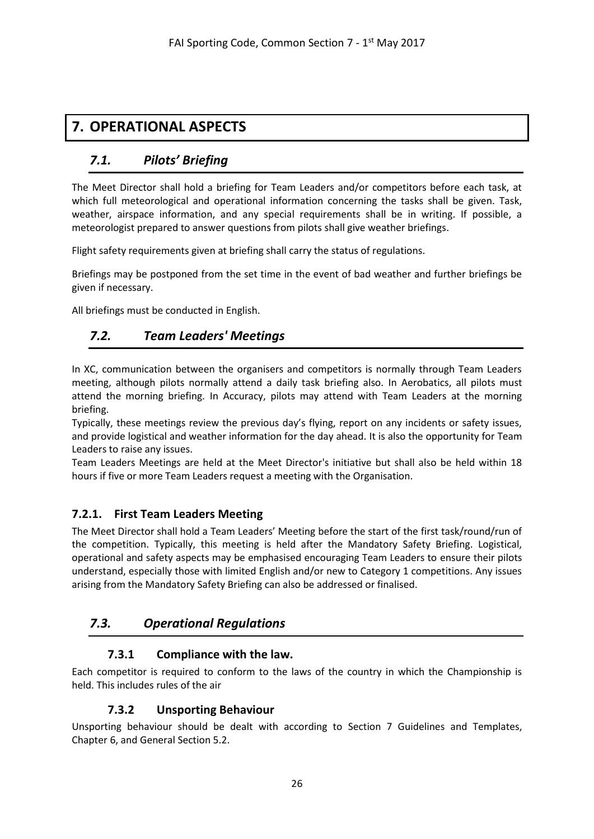# <span id="page-25-1"></span><span id="page-25-0"></span>**7. OPERATIONAL ASPECTS**

## *7.1. Pilots' Briefing*

The Meet Director shall hold a briefing for Team Leaders and/or competitors before each task, at which full meteorological and operational information concerning the tasks shall be given. Task, weather, airspace information, and any special requirements shall be in writing. If possible, a meteorologist prepared to answer questions from pilots shall give weather briefings.

Flight safety requirements given at briefing shall carry the status of regulations.

Briefings may be postponed from the set time in the event of bad weather and further briefings be given if necessary.

<span id="page-25-2"></span>All briefings must be conducted in English.

## *7.2. Team Leaders' Meetings*

In XC, communication between the organisers and competitors is normally through Team Leaders meeting, although pilots normally attend a daily task briefing also. In Aerobatics, all pilots must attend the morning briefing. In Accuracy, pilots may attend with Team Leaders at the morning briefing.

Typically, these meetings review the previous day's flying, report on any incidents or safety issues, and provide logistical and weather information for the day ahead. It is also the opportunity for Team Leaders to raise any issues.

Team Leaders Meetings are held at the Meet Director's initiative but shall also be held within 18 hours if five or more Team Leaders request a meeting with the Organisation.

## <span id="page-25-3"></span>**7.2.1. First Team Leaders Meeting**

The Meet Director shall hold a Team Leaders' Meeting before the start of the first task/round/run of the competition. Typically, this meeting is held after the Mandatory Safety Briefing. Logistical, operational and safety aspects may be emphasised encouraging Team Leaders to ensure their pilots understand, especially those with limited English and/or new to Category 1 competitions. Any issues arising from the Mandatory Safety Briefing can also be addressed or finalised.

## <span id="page-25-5"></span><span id="page-25-4"></span>*7.3. Operational Regulations*

## **7.3.1 Compliance with the law.**

<span id="page-25-6"></span>Each competitor is required to conform to the laws of the country in which the Championship is held. This includes rules of the air

## **7.3.2 Unsporting Behaviour**

Unsporting behaviour should be dealt with according to Section 7 Guidelines and Templates, Chapter 6, and General Section 5.2.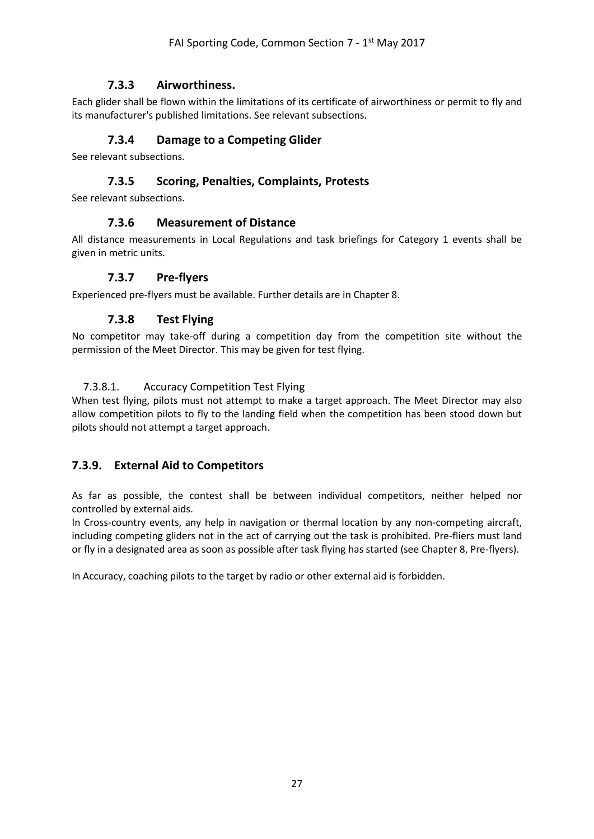### **7.3.3 Airworthiness.**

<span id="page-26-1"></span><span id="page-26-0"></span>Each glider shall be flown within the limitations of its certificate of airworthiness or permit to fly and its manufacturer's published limitations. See relevant subsections.

#### **7.3.4 Damage to a Competing Glider**

<span id="page-26-2"></span>See relevant subsections.

#### **7.3.5 Scoring, Penalties, Complaints, Protests**

<span id="page-26-3"></span>See relevant subsections.

#### **7.3.6 Measurement of Distance**

<span id="page-26-4"></span>All distance measurements in Local Regulations and task briefings for Category 1 events shall be given in metric units.

#### **7.3.7 Pre-flyers**

<span id="page-26-5"></span>Experienced pre-flyers must be available. Further details are in Chapter 8.

#### **7.3.8 Test Flying**

No competitor may take-off during a competition day from the competition site without the permission of the Meet Director. This may be given for test flying.

#### <span id="page-26-6"></span>7.3.8.1. Accuracy Competition Test Flying

When test flying, pilots must not attempt to make a target approach. The Meet Director may also allow competition pilots to fly to the landing field when the competition has been stood down but pilots should not attempt a target approach.

#### <span id="page-26-7"></span>**7.3.9. External Aid to Competitors**

As far as possible, the contest shall be between individual competitors, neither helped nor controlled by external aids.

In Cross-country events, any help in navigation or thermal location by any non-competing aircraft, including competing gliders not in the act of carrying out the task is prohibited. Pre-fliers must land or fly in a designated area as soon as possible after task flying has started (see Chapter 8, Pre-flyers).

In Accuracy, coaching pilots to the target by radio or other external aid is forbidden.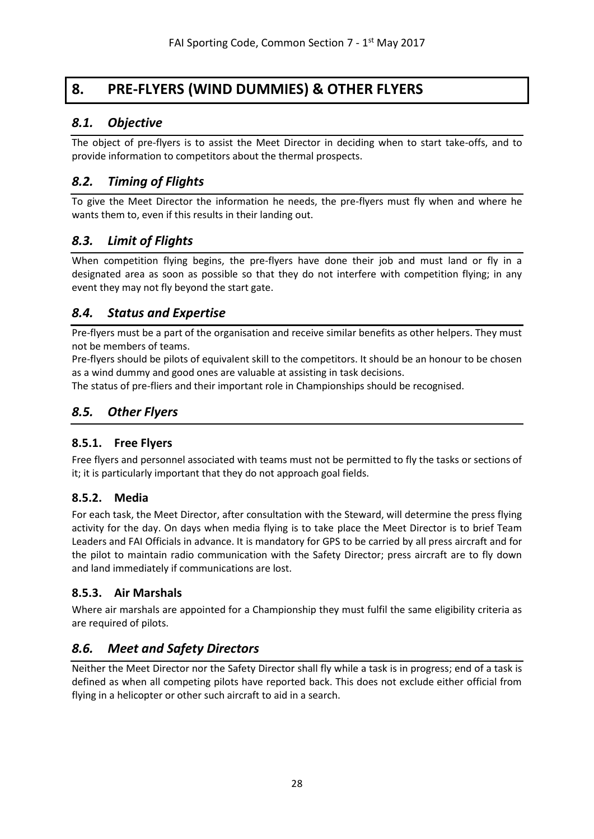# <span id="page-27-0"></span>**8. PRE-FLYERS (WIND DUMMIES) & OTHER FLYERS**

## <span id="page-27-1"></span>*8.1. Objective*

The object of pre-flyers is to assist the Meet Director in deciding when to start take-offs, and to provide information to competitors about the thermal prospects.

## <span id="page-27-2"></span>*8.2. Timing of Flights*

To give the Meet Director the information he needs, the pre-flyers must fly when and where he wants them to, even if this results in their landing out.

## <span id="page-27-3"></span>*8.3. Limit of Flights*

When competition flying begins, the pre-flyers have done their job and must land or fly in a designated area as soon as possible so that they do not interfere with competition flying; in any event they may not fly beyond the start gate.

## <span id="page-27-4"></span>*8.4. Status and Expertise*

Pre-flyers must be a part of the organisation and receive similar benefits as other helpers. They must not be members of teams.

Pre-flyers should be pilots of equivalent skill to the competitors. It should be an honour to be chosen as a wind dummy and good ones are valuable at assisting in task decisions.

The status of pre-fliers and their important role in Championships should be recognised.

## <span id="page-27-5"></span>*8.5. Other Flyers*

## <span id="page-27-6"></span>**8.5.1. Free Flyers**

Free flyers and personnel associated with teams must not be permitted to fly the tasks or sections of it; it is particularly important that they do not approach goal fields.

#### <span id="page-27-7"></span>**8.5.2. Media**

For each task, the Meet Director, after consultation with the Steward, will determine the press flying activity for the day. On days when media flying is to take place the Meet Director is to brief Team Leaders and FAI Officials in advance. It is mandatory for GPS to be carried by all press aircraft and for the pilot to maintain radio communication with the Safety Director; press aircraft are to fly down and land immediately if communications are lost.

## <span id="page-27-8"></span>**8.5.3. Air Marshals**

Where air marshals are appointed for a Championship they must fulfil the same eligibility criteria as are required of pilots.

## <span id="page-27-9"></span>*8.6. Meet and Safety Directors*

Neither the Meet Director nor the Safety Director shall fly while a task is in progress; end of a task is defined as when all competing pilots have reported back. This does not exclude either official from flying in a helicopter or other such aircraft to aid in a search.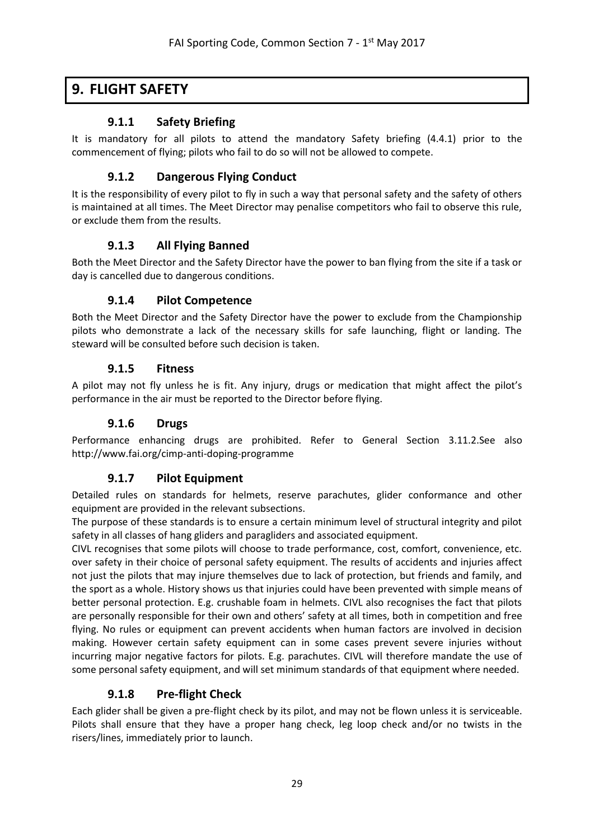## <span id="page-28-1"></span><span id="page-28-0"></span>**9. FLIGHT SAFETY**

### **9.1.1 Safety Briefing**

<span id="page-28-2"></span>It is mandatory for all pilots to attend the mandatory Safety briefing (4.4.1) prior to the commencement of flying; pilots who fail to do so will not be allowed to compete.

### **9.1.2 Dangerous Flying Conduct**

It is the responsibility of every pilot to fly in such a way that personal safety and the safety of others is maintained at all times. The Meet Director may penalise competitors who fail to observe this rule, or exclude them from the results.

### **9.1.3 All Flying Banned**

<span id="page-28-4"></span><span id="page-28-3"></span>Both the Meet Director and the Safety Director have the power to ban flying from the site if a task or day is cancelled due to dangerous conditions.

### **9.1.4 Pilot Competence**

Both the Meet Director and the Safety Director have the power to exclude from the Championship pilots who demonstrate a lack of the necessary skills for safe launching, flight or landing. The steward will be consulted before such decision is taken.

#### **9.1.5 Fitness**

<span id="page-28-6"></span><span id="page-28-5"></span>A pilot may not fly unless he is fit. Any injury, drugs or medication that might affect the pilot's performance in the air must be reported to the Director before flying.

#### **9.1.6 Drugs**

<span id="page-28-7"></span>Performance enhancing drugs are prohibited. Refer to General Section 3.11.2.See also http://www.fai.org/cimp-anti-doping-programme

## **9.1.7 Pilot Equipment**

Detailed rules on standards for helmets, reserve parachutes, glider conformance and other equipment are provided in the relevant subsections.

The purpose of these standards is to ensure a certain minimum level of structural integrity and pilot safety in all classes of hang gliders and paragliders and associated equipment.

CIVL recognises that some pilots will choose to trade performance, cost, comfort, convenience, etc. over safety in their choice of personal safety equipment. The results of accidents and injuries affect not just the pilots that may injure themselves due to lack of protection, but friends and family, and the sport as a whole. History shows us that injuries could have been prevented with simple means of better personal protection. E.g. crushable foam in helmets. CIVL also recognises the fact that pilots are personally responsible for their own and others' safety at all times, both in competition and free flying. No rules or equipment can prevent accidents when human factors are involved in decision making. However certain safety equipment can in some cases prevent severe injuries without incurring major negative factors for pilots. E.g. parachutes. CIVL will therefore mandate the use of some personal safety equipment, and will set minimum standards of that equipment where needed.

## **9.1.8 Pre-flight Check**

<span id="page-28-8"></span>Each glider shall be given a pre-flight check by its pilot, and may not be flown unless it is serviceable. Pilots shall ensure that they have a proper hang check, leg loop check and/or no twists in the risers/lines, immediately prior to launch.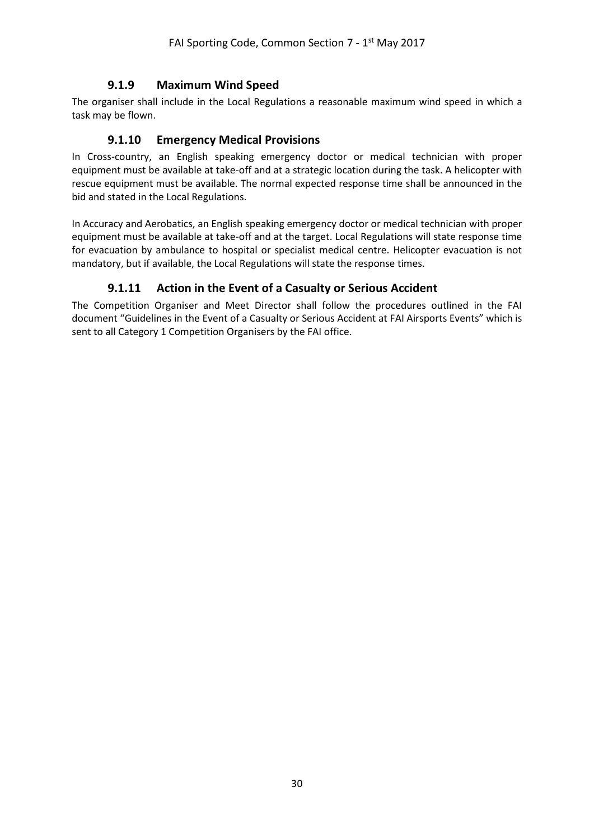### **9.1.9 Maximum Wind Speed**

<span id="page-29-1"></span><span id="page-29-0"></span>The organiser shall include in the Local Regulations a reasonable maximum wind speed in which a task may be flown.

#### **9.1.10 Emergency Medical Provisions**

In Cross-country, an English speaking emergency doctor or medical technician with proper equipment must be available at take-off and at a strategic location during the task. A helicopter with rescue equipment must be available. The normal expected response time shall be announced in the bid and stated in the Local Regulations.

In Accuracy and Aerobatics, an English speaking emergency doctor or medical technician with proper equipment must be available at take-off and at the target. Local Regulations will state response time for evacuation by ambulance to hospital or specialist medical centre. Helicopter evacuation is not mandatory, but if available, the Local Regulations will state the response times.

## **9.1.11 Action in the Event of a Casualty or Serious Accident**

<span id="page-29-2"></span>The Competition Organiser and Meet Director shall follow the procedures outlined in the FAI document "Guidelines in the Event of a Casualty or Serious Accident at FAI Airsports Events" which is sent to all Category 1 Competition Organisers by the FAI office.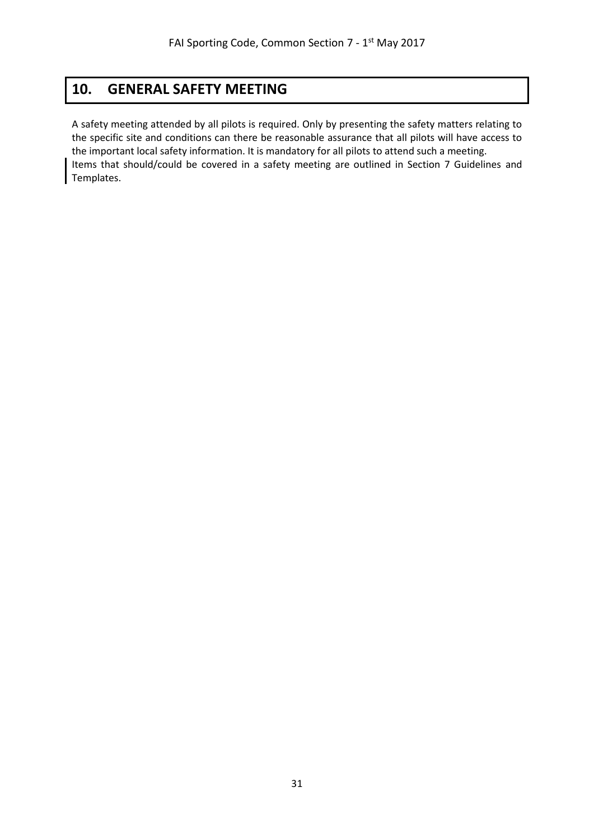# <span id="page-30-0"></span>**10. GENERAL SAFETY MEETING**

A safety meeting attended by all pilots is required. Only by presenting the safety matters relating to the specific site and conditions can there be reasonable assurance that all pilots will have access to the important local safety information. It is mandatory for all pilots to attend such a meeting. Items that should/could be covered in a safety meeting are outlined in Section 7 Guidelines and Templates.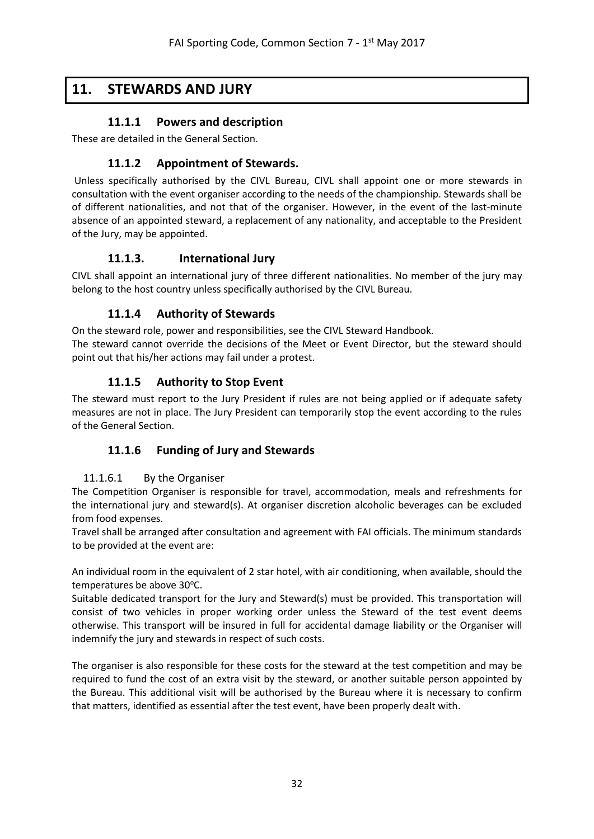# <span id="page-31-1"></span><span id="page-31-0"></span>**11. STEWARDS AND JURY**

## **11.1.1 Powers and description**

<span id="page-31-2"></span>These are detailed in the General Section.

## **11.1.2 Appointment of Stewards.**

Unless specifically authorised by the CIVL Bureau, CIVL shall appoint one or more stewards in consultation with the event organiser according to the needs of the championship. Stewards shall be of different nationalities, and not that of the organiser. However, in the event of the last-minute absence of an appointed steward, a replacement of any nationality, and acceptable to the President of the Jury, may be appointed.

## **11.1.3. International Jury**

<span id="page-31-4"></span><span id="page-31-3"></span>CIVL shall appoint an international jury of three different nationalities. No member of the jury may belong to the host country unless specifically authorised by the CIVL Bureau.

## **11.1.4 Authority of Stewards**

On the steward role, power and responsibilities, see the CIVL Steward Handbook. The steward cannot override the decisions of the Meet or Event Director, but the steward should point out that his/her actions may fail under a protest.

## **11.1.5 Authority to Stop Event**

<span id="page-31-6"></span><span id="page-31-5"></span>The steward must report to the Jury President if rules are not being applied or if adequate safety measures are not in place. The Jury President can temporarily stop the event according to the rules of the General Section.

## **11.1.6 Funding of Jury and Stewards**

#### <span id="page-31-7"></span>11.1.6.1 By the Organiser

The Competition Organiser is responsible for travel, accommodation, meals and refreshments for the international jury and steward(s). At organiser discretion alcoholic beverages can be excluded from food expenses.

Travel shall be arranged after consultation and agreement with FAI officials. The minimum standards to be provided at the event are:

An individual room in the equivalent of 2 star hotel, with air conditioning, when available, should the temperatures be above 30°C.

Suitable dedicated transport for the Jury and Steward(s) must be provided. This transportation will consist of two vehicles in proper working order unless the Steward of the test event deems otherwise. This transport will be insured in full for accidental damage liability or the Organiser will indemnify the jury and stewards in respect of such costs.

The organiser is also responsible for these costs for the steward at the test competition and may be required to fund the cost of an extra visit by the steward, or another suitable person appointed by the Bureau. This additional visit will be authorised by the Bureau where it is necessary to confirm that matters, identified as essential after the test event, have been properly dealt with.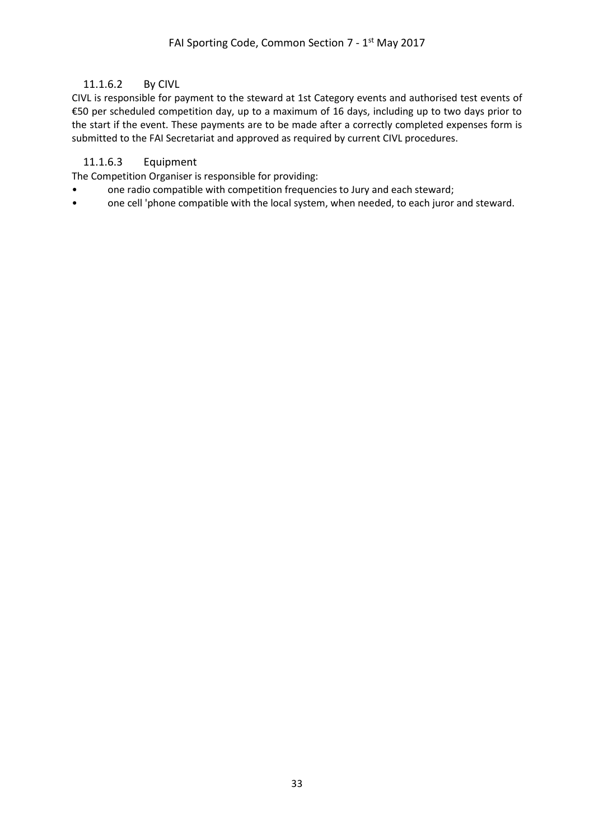#### <span id="page-32-0"></span>11.1.6.2 By CIVL

CIVL is responsible for payment to the steward at 1st Category events and authorised test events of €50 per scheduled competition day, up to a maximum of 16 days, including up to two days prior to the start if the event. These payments are to be made after a correctly completed expenses form is submitted to the FAI Secretariat and approved as required by current CIVL procedures.

#### <span id="page-32-1"></span>11.1.6.3 Equipment

The Competition Organiser is responsible for providing:

- one radio compatible with competition frequencies to Jury and each steward;
- one cell 'phone compatible with the local system, when needed, to each juror and steward.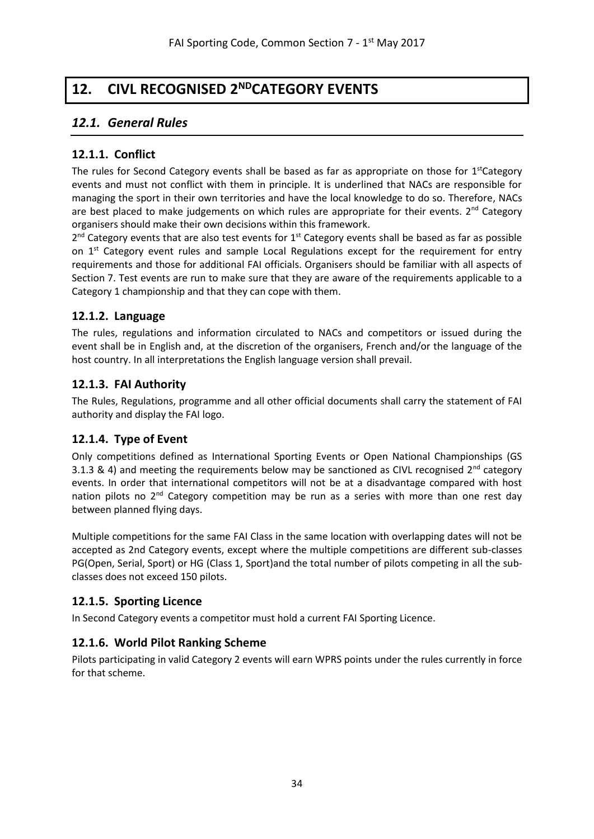# <span id="page-33-0"></span>**12. CIVL RECOGNISED 2NDCATEGORY EVENTS**

## <span id="page-33-1"></span>*12.1. General Rules*

### <span id="page-33-2"></span>**12.1.1. Conflict**

The rules for Second Category events shall be based as far as appropriate on those for 1<sup>st</sup>Category events and must not conflict with them in principle. It is underlined that NACs are responsible for managing the sport in their own territories and have the local knowledge to do so. Therefore, NACs are best placed to make judgements on which rules are appropriate for their events.  $2^{nd}$  Category organisers should make their own decisions within this framework.

2<sup>nd</sup> Category events that are also test events for 1<sup>st</sup> Category events shall be based as far as possible on  $1<sup>st</sup>$  Category event rules and sample Local Regulations except for the requirement for entry requirements and those for additional FAI officials. Organisers should be familiar with all aspects of Section 7. Test events are run to make sure that they are aware of the requirements applicable to a Category 1 championship and that they can cope with them.

#### <span id="page-33-3"></span>**12.1.2. Language**

The rules, regulations and information circulated to NACs and competitors or issued during the event shall be in English and, at the discretion of the organisers, French and/or the language of the host country. In all interpretations the English language version shall prevail.

### <span id="page-33-4"></span>**12.1.3. FAI Authority**

The Rules, Regulations, programme and all other official documents shall carry the statement of FAI authority and display the FAI logo.

#### <span id="page-33-5"></span>**12.1.4. Type of Event**

Only competitions defined as International Sporting Events or Open National Championships (GS 3.1.3 & 4) and meeting the requirements below may be sanctioned as CIVL recognised  $2^{nd}$  category events. In order that international competitors will not be at a disadvantage compared with host nation pilots no  $2<sup>nd</sup>$  Category competition may be run as a series with more than one rest day between planned flying days.

Multiple competitions for the same FAI Class in the same location with overlapping dates will not be accepted as 2nd Category events, except where the multiple competitions are different sub-classes PG(Open, Serial, Sport) or HG (Class 1, Sport)and the total number of pilots competing in all the subclasses does not exceed 150 pilots.

## <span id="page-33-6"></span>**12.1.5. Sporting Licence**

In Second Category events a competitor must hold a current FAI Sporting Licence.

#### <span id="page-33-7"></span>**12.1.6. World Pilot Ranking Scheme**

Pilots participating in valid Category 2 events will earn WPRS points under the rules currently in force for that scheme.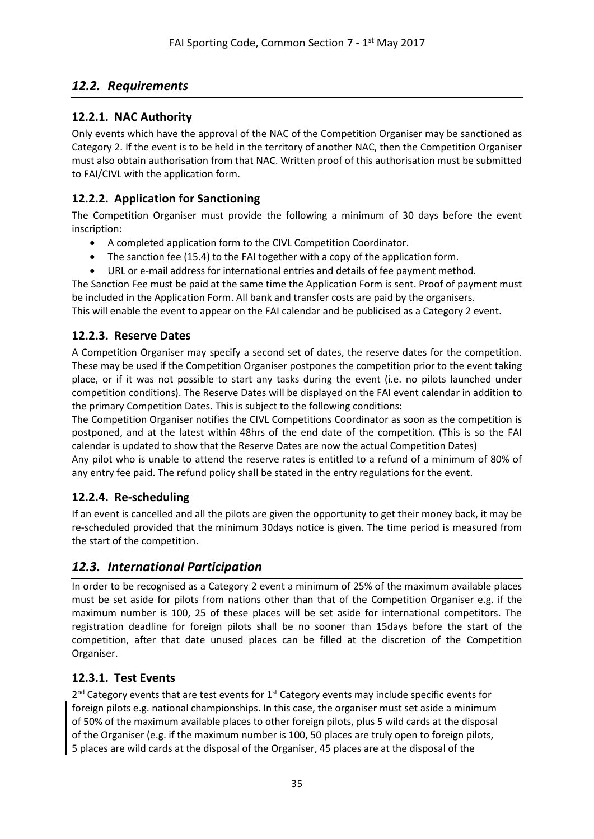## <span id="page-34-0"></span>*12.2. Requirements*

## <span id="page-34-1"></span>**12.2.1. NAC Authority**

Only events which have the approval of the NAC of the Competition Organiser may be sanctioned as Category 2. If the event is to be held in the territory of another NAC, then the Competition Organiser must also obtain authorisation from that NAC. Written proof of this authorisation must be submitted to FAI/CIVL with the application form.

## <span id="page-34-2"></span>**12.2.2. Application for Sanctioning**

The Competition Organiser must provide the following a minimum of 30 days before the event inscription:

- A completed application form to the CIVL Competition Coordinator.
- The sanction fee (15.4) to the FAI together with a copy of the application form.
- URL or e-mail address for international entries and details of fee payment method.

The Sanction Fee must be paid at the same time the Application Form is sent. Proof of payment must be included in the Application Form. All bank and transfer costs are paid by the organisers.

This will enable the event to appear on the FAI calendar and be publicised as a Category 2 event.

### <span id="page-34-3"></span>**12.2.3. Reserve Dates**

A Competition Organiser may specify a second set of dates, the reserve dates for the competition. These may be used if the Competition Organiser postpones the competition prior to the event taking place, or if it was not possible to start any tasks during the event (i.e. no pilots launched under competition conditions). The Reserve Dates will be displayed on the FAI event calendar in addition to the primary Competition Dates. This is subject to the following conditions:

The Competition Organiser notifies the CIVL Competitions Coordinator as soon as the competition is postponed, and at the latest within 48hrs of the end date of the competition. (This is so the FAI calendar is updated to show that the Reserve Dates are now the actual Competition Dates)

Any pilot who is unable to attend the reserve rates is entitled to a refund of a minimum of 80% of any entry fee paid. The refund policy shall be stated in the entry regulations for the event.

## <span id="page-34-4"></span>**12.2.4. Re-scheduling**

If an event is cancelled and all the pilots are given the opportunity to get their money back, it may be re-scheduled provided that the minimum 30days notice is given. The time period is measured from the start of the competition.

## <span id="page-34-5"></span>*12.3. International Participation*

In order to be recognised as a Category 2 event a minimum of 25% of the maximum available places must be set aside for pilots from nations other than that of the Competition Organiser e.g. if the maximum number is 100, 25 of these places will be set aside for international competitors. The registration deadline for foreign pilots shall be no sooner than 15days before the start of the competition, after that date unused places can be filled at the discretion of the Competition Organiser.

## <span id="page-34-6"></span>**12.3.1. Test Events**

2<sup>nd</sup> Category events that are test events for 1<sup>st</sup> Category events may include specific events for foreign pilots e.g. national championships. In this case, the organiser must set aside a minimum of 50% of the maximum available places to other foreign pilots, plus 5 wild cards at the disposal of the Organiser (e.g. if the maximum number is 100, 50 places are truly open to foreign pilots, 5 places are wild cards at the disposal of the Organiser, 45 places are at the disposal of the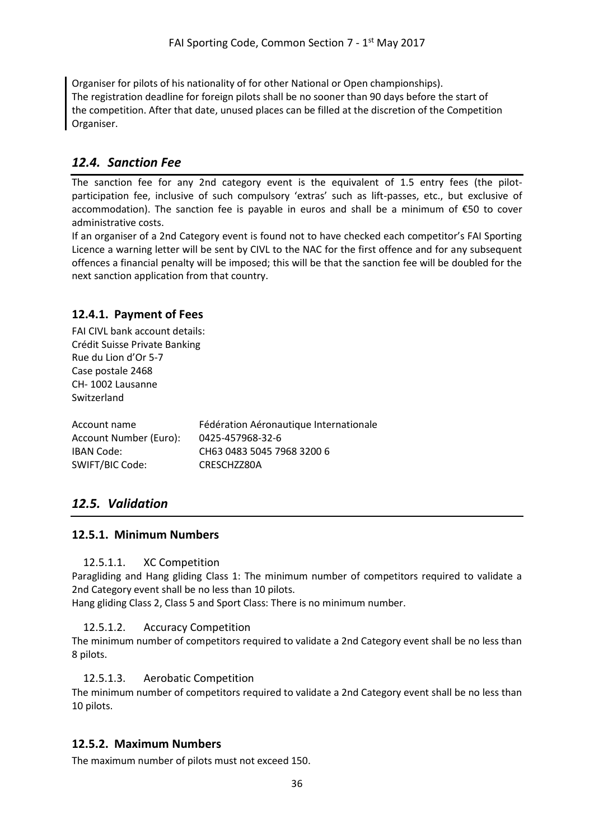Organiser for pilots of his nationality of for other National or Open championships). The registration deadline for foreign pilots shall be no sooner than 90 days before the start of the competition. After that date, unused places can be filled at the discretion of the Competition Organiser.

## <span id="page-35-0"></span>*12.4. Sanction Fee*

The sanction fee for any 2nd category event is the equivalent of 1.5 entry fees (the pilotparticipation fee, inclusive of such compulsory 'extras' such as lift-passes, etc., but exclusive of accommodation). The sanction fee is payable in euros and shall be a minimum of €50 to cover administrative costs.

If an organiser of a 2nd Category event is found not to have checked each competitor's FAI Sporting Licence a warning letter will be sent by CIVL to the NAC for the first offence and for any subsequent offences a financial penalty will be imposed; this will be that the sanction fee will be doubled for the next sanction application from that country.

#### <span id="page-35-1"></span>**12.4.1. Payment of Fees**

FAI CIVL bank account details: Crédit Suisse Private Banking Rue du Lion d'Or 5-7 Case postale 2468 CH- 1002 Lausanne Switzerland

| Account name           | Fédération Aéronautique Internationale |
|------------------------|----------------------------------------|
| Account Number (Euro): | 0425-457968-32-6                       |
| IBAN Code:             | CH63 0483 5045 7968 3200 6             |
| SWIFT/BIC Code:        | CRESCHZZ80A                            |

## <span id="page-35-2"></span>*12.5. Validation*

#### <span id="page-35-4"></span><span id="page-35-3"></span>**12.5.1. Minimum Numbers**

#### 12.5.1.1. XC Competition

Paragliding and Hang gliding Class 1: The minimum number of competitors required to validate a 2nd Category event shall be no less than 10 pilots.

<span id="page-35-5"></span>Hang gliding Class 2, Class 5 and Sport Class: There is no minimum number.

#### 12.5.1.2. Accuracy Competition

The minimum number of competitors required to validate a 2nd Category event shall be no less than 8 pilots.

#### <span id="page-35-6"></span>12.5.1.3. Aerobatic Competition

The minimum number of competitors required to validate a 2nd Category event shall be no less than 10 pilots.

#### <span id="page-35-7"></span>**12.5.2. Maximum Numbers**

The maximum number of pilots must not exceed 150.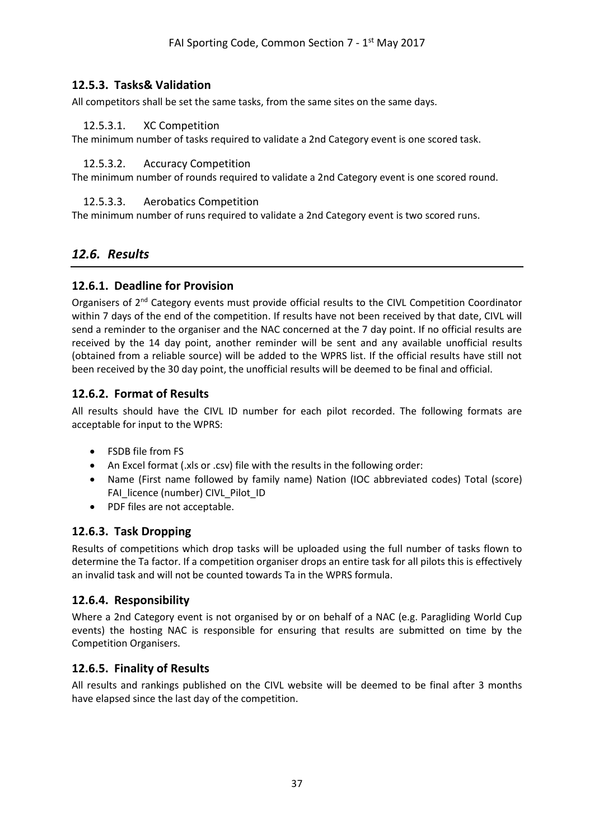### <span id="page-36-0"></span>**12.5.3. Tasks& Validation**

<span id="page-36-1"></span>All competitors shall be set the same tasks, from the same sites on the same days.

#### 12.5.3.1. XC Competition

<span id="page-36-2"></span>The minimum number of tasks required to validate a 2nd Category event is one scored task.

#### 12.5.3.2. Accuracy Competition

<span id="page-36-3"></span>The minimum number of rounds required to validate a 2nd Category event is one scored round.

#### 12.5.3.3. Aerobatics Competition

The minimum number of runs required to validate a 2nd Category event is two scored runs.

## <span id="page-36-4"></span>*12.6. Results*

#### <span id="page-36-5"></span>**12.6.1. Deadline for Provision**

Organisers of 2<sup>nd</sup> Category events must provide official results to the CIVL Competition Coordinator within 7 days of the end of the competition. If results have not been received by that date, CIVL will send a reminder to the organiser and the NAC concerned at the 7 day point. If no official results are received by the 14 day point, another reminder will be sent and any available unofficial results (obtained from a reliable source) will be added to the WPRS list. If the official results have still not been received by the 30 day point, the unofficial results will be deemed to be final and official.

### <span id="page-36-6"></span>**12.6.2. Format of Results**

All results should have the CIVL ID number for each pilot recorded. The following formats are acceptable for input to the WPRS:

- FSDB file from FS
- An Excel format (.xls or .csv) file with the results in the following order:
- Name (First name followed by family name) Nation (IOC abbreviated codes) Total (score) FAI\_licence (number) CIVL\_Pilot\_ID
- PDF files are not acceptable.

## <span id="page-36-7"></span>**12.6.3. Task Dropping**

Results of competitions which drop tasks will be uploaded using the full number of tasks flown to determine the Ta factor. If a competition organiser drops an entire task for all pilots this is effectively an invalid task and will not be counted towards Ta in the WPRS formula.

#### <span id="page-36-8"></span>**12.6.4. Responsibility**

Where a 2nd Category event is not organised by or on behalf of a NAC (e.g. Paragliding World Cup events) the hosting NAC is responsible for ensuring that results are submitted on time by the Competition Organisers.

#### <span id="page-36-9"></span>**12.6.5. Finality of Results**

All results and rankings published on the CIVL website will be deemed to be final after 3 months have elapsed since the last day of the competition.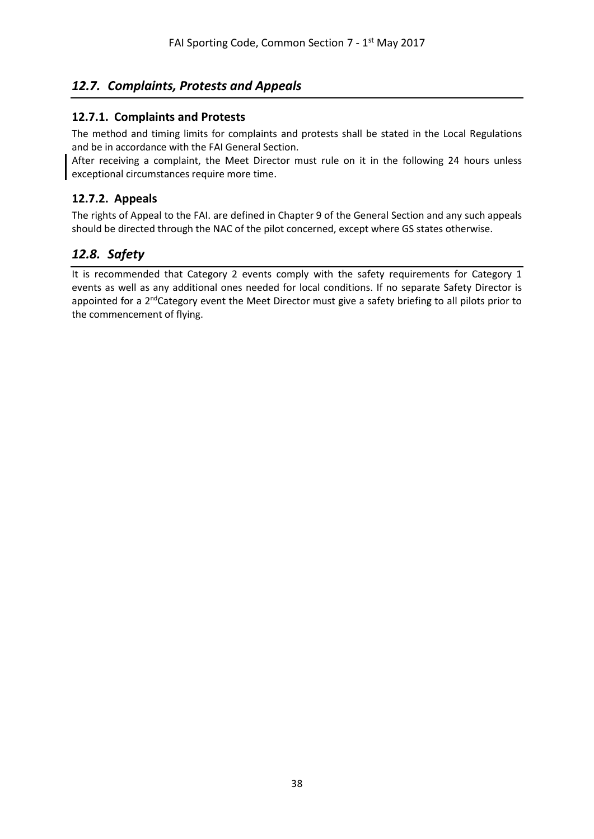## <span id="page-37-0"></span>*12.7. Complaints, Protests and Appeals*

### <span id="page-37-1"></span>**12.7.1. Complaints and Protests**

The method and timing limits for complaints and protests shall be stated in the Local Regulations and be in accordance with the FAI General Section.

After receiving a complaint, the Meet Director must rule on it in the following 24 hours unless exceptional circumstances require more time.

### <span id="page-37-2"></span>**12.7.2. Appeals**

The rights of Appeal to the FAI. are defined in Chapter 9 of the General Section and any such appeals should be directed through the NAC of the pilot concerned, except where GS states otherwise.

## <span id="page-37-3"></span>*12.8. Safety*

It is recommended that Category 2 events comply with the safety requirements for Category 1 events as well as any additional ones needed for local conditions. If no separate Safety Director is appointed for a 2<sup>nd</sup>Category event the Meet Director must give a safety briefing to all pilots prior to the commencement of flying.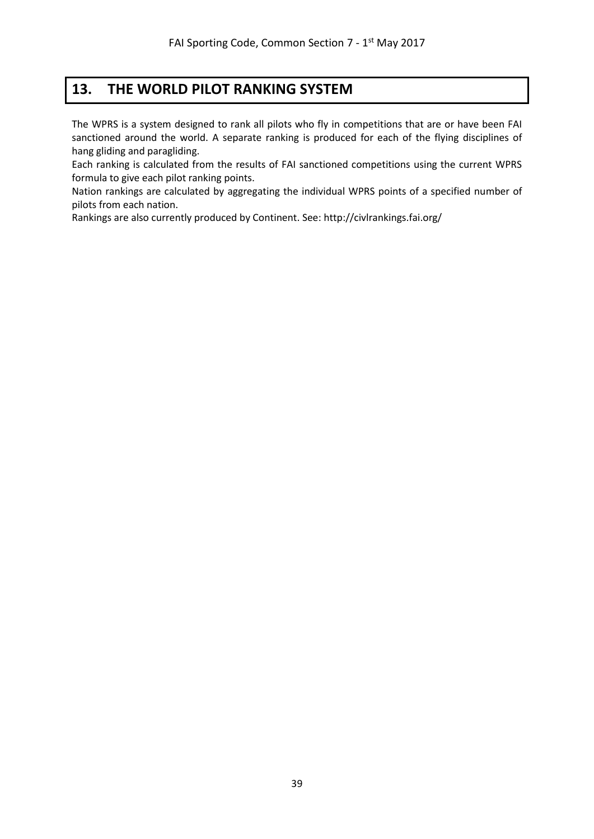## <span id="page-38-0"></span>**13. THE WORLD PILOT RANKING SYSTEM**

The WPRS is a system designed to rank all pilots who fly in competitions that are or have been FAI sanctioned around the world. A separate ranking is produced for each of the flying disciplines of hang gliding and paragliding.

Each ranking is calculated from the results of FAI sanctioned competitions using the current WPRS formula to give each pilot ranking points.

Nation rankings are calculated by aggregating the individual WPRS points of a specified number of pilots from each nation.

Rankings are also currently produced by Continent. See[: http://civlrankings.fai.org/](http://civlrankings.fai.org/)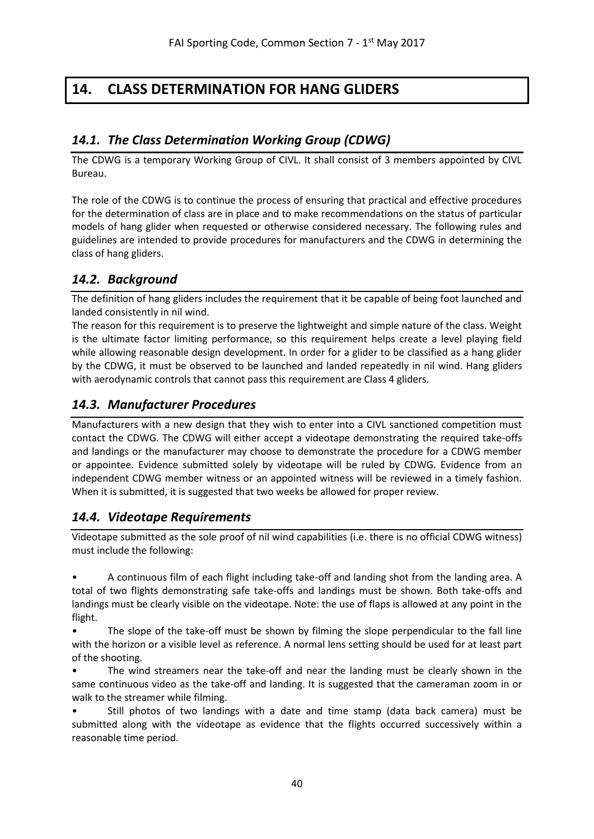# <span id="page-39-0"></span>**14. CLASS DETERMINATION FOR HANG GLIDERS**

## <span id="page-39-1"></span>*14.1. The Class Determination Working Group (CDWG)*

The CDWG is a temporary Working Group of CIVL. It shall consist of 3 members appointed by CIVL Bureau.

The role of the CDWG is to continue the process of ensuring that practical and effective procedures for the determination of class are in place and to make recommendations on the status of particular models of hang glider when requested or otherwise considered necessary. The following rules and guidelines are intended to provide procedures for manufacturers and the CDWG in determining the class of hang gliders.

## <span id="page-39-2"></span>*14.2. Background*

The definition of hang gliders includes the requirement that it be capable of being foot launched and landed consistently in nil wind.

The reason for this requirement is to preserve the lightweight and simple nature of the class. Weight is the ultimate factor limiting performance, so this requirement helps create a level playing field while allowing reasonable design development. In order for a glider to be classified as a hang glider by the CDWG, it must be observed to be launched and landed repeatedly in nil wind. Hang gliders with aerodynamic controls that cannot pass this requirement are Class 4 gliders.

## <span id="page-39-3"></span>*14.3. Manufacturer Procedures*

Manufacturers with a new design that they wish to enter into a CIVL sanctioned competition must contact the CDWG. The CDWG will either accept a videotape demonstrating the required take-offs and landings or the manufacturer may choose to demonstrate the procedure for a CDWG member or appointee. Evidence submitted solely by videotape will be ruled by CDWG. Evidence from an independent CDWG member witness or an appointed witness will be reviewed in a timely fashion. When it is submitted, it is suggested that two weeks be allowed for proper review.

## <span id="page-39-4"></span>*14.4. Videotape Requirements*

Videotape submitted as the sole proof of nil wind capabilities (i.e. there is no official CDWG witness) must include the following:

• A continuous film of each flight including take-off and landing shot from the landing area. A total of two flights demonstrating safe take-offs and landings must be shown. Both take-offs and landings must be clearly visible on the videotape. Note: the use of flaps is allowed at any point in the flight.

• The slope of the take-off must be shown by filming the slope perpendicular to the fall line with the horizon or a visible level as reference. A normal lens setting should be used for at least part of the shooting.

The wind streamers near the take-off and near the landing must be clearly shown in the same continuous video as the take-off and landing. It is suggested that the cameraman zoom in or walk to the streamer while filming.

• Still photos of two landings with a date and time stamp (data back camera) must be submitted along with the videotape as evidence that the flights occurred successively within a reasonable time period.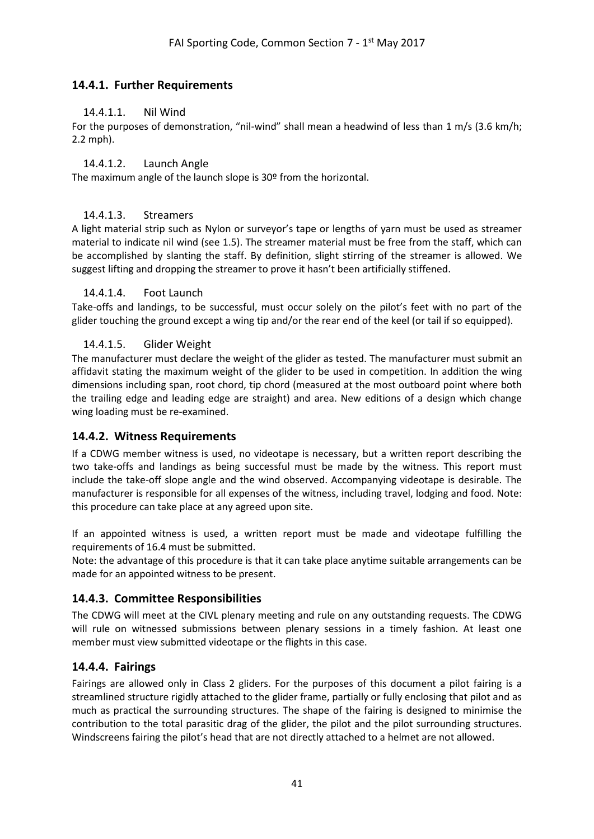### <span id="page-40-1"></span><span id="page-40-0"></span>**14.4.1. Further Requirements**

#### 14.4.1.1. Nil Wind

For the purposes of demonstration, "nil-wind" shall mean a headwind of less than 1 m/s (3.6 km/h; 2.2 mph).

#### <span id="page-40-2"></span>14.4.1.2. Launch Angle

The maximum angle of the launch slope is 30º from the horizontal.

#### <span id="page-40-3"></span>14.4.1.3. Streamers

A light material strip such as Nylon or surveyor's tape or lengths of yarn must be used as streamer material to indicate nil wind (see 1.5). The streamer material must be free from the staff, which can be accomplished by slanting the staff. By definition, slight stirring of the streamer is allowed. We suggest lifting and dropping the streamer to prove it hasn't been artificially stiffened.

#### <span id="page-40-4"></span>14.4.1.4. Foot Launch

Take-offs and landings, to be successful, must occur solely on the pilot's feet with no part of the glider touching the ground except a wing tip and/or the rear end of the keel (or tail if so equipped).

#### <span id="page-40-5"></span>14.4.1.5. Glider Weight

The manufacturer must declare the weight of the glider as tested. The manufacturer must submit an affidavit stating the maximum weight of the glider to be used in competition. In addition the wing dimensions including span, root chord, tip chord (measured at the most outboard point where both the trailing edge and leading edge are straight) and area. New editions of a design which change wing loading must be re-examined.

#### <span id="page-40-6"></span>**14.4.2. Witness Requirements**

If a CDWG member witness is used, no videotape is necessary, but a written report describing the two take-offs and landings as being successful must be made by the witness. This report must include the take-off slope angle and the wind observed. Accompanying videotape is desirable. The manufacturer is responsible for all expenses of the witness, including travel, lodging and food. Note: this procedure can take place at any agreed upon site.

If an appointed witness is used, a written report must be made and videotape fulfilling the requirements of 16.4 must be submitted.

Note: the advantage of this procedure is that it can take place anytime suitable arrangements can be made for an appointed witness to be present.

#### <span id="page-40-7"></span>**14.4.3. Committee Responsibilities**

The CDWG will meet at the CIVL plenary meeting and rule on any outstanding requests. The CDWG will rule on witnessed submissions between plenary sessions in a timely fashion. At least one member must view submitted videotape or the flights in this case.

#### <span id="page-40-8"></span>**14.4.4. Fairings**

Fairings are allowed only in Class 2 gliders. For the purposes of this document a pilot fairing is a streamlined structure rigidly attached to the glider frame, partially or fully enclosing that pilot and as much as practical the surrounding structures. The shape of the fairing is designed to minimise the contribution to the total parasitic drag of the glider, the pilot and the pilot surrounding structures. Windscreens fairing the pilot's head that are not directly attached to a helmet are not allowed.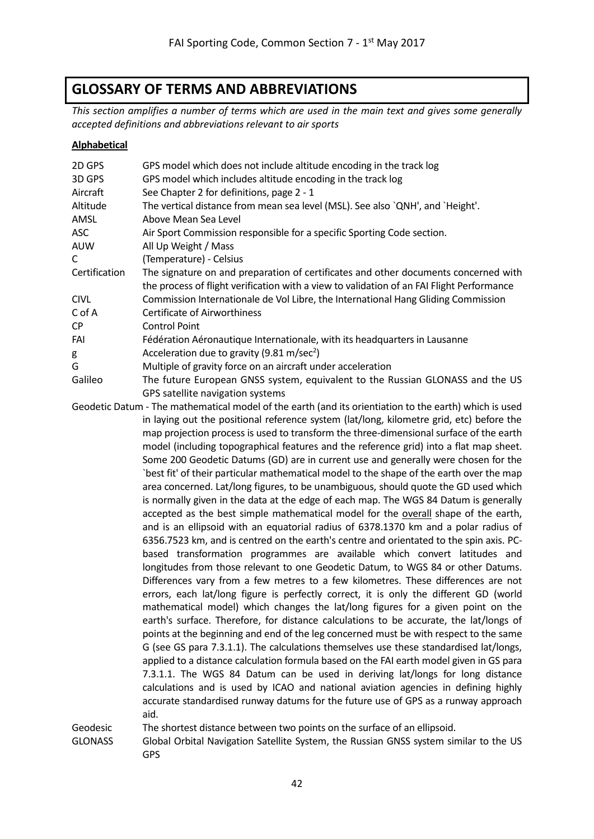# <span id="page-41-0"></span>**GLOSSARY OF TERMS AND ABBREVIATIONS**

*This section amplifies a number of terms which are used in the main text and gives some generally accepted definitions and abbreviations relevant to air sports*

#### **Alphabetical**

| 2D GPS         | GPS model which does not include altitude encoding in the track log                                    |
|----------------|--------------------------------------------------------------------------------------------------------|
| 3D GPS         | GPS model which includes altitude encoding in the track log                                            |
| Aircraft       | See Chapter 2 for definitions, page 2 - 1                                                              |
| Altitude       | The vertical distance from mean sea level (MSL). See also `QNH', and `Height'.                         |
| AMSL           | Above Mean Sea Level                                                                                   |
| ASC            | Air Sport Commission responsible for a specific Sporting Code section.                                 |
| <b>AUW</b>     | All Up Weight / Mass                                                                                   |
| C              | (Temperature) - Celsius                                                                                |
| Certification  | The signature on and preparation of certificates and other documents concerned with                    |
|                | the process of flight verification with a view to validation of an FAI Flight Performance              |
| <b>CIVL</b>    | Commission Internationale de Vol Libre, the International Hang Gliding Commission                      |
| C of A         | <b>Certificate of Airworthiness</b>                                                                    |
| CP             | <b>Control Point</b>                                                                                   |
| FAI            | Fédération Aéronautique Internationale, with its headquarters in Lausanne                              |
| g              | Acceleration due to gravity (9.81 m/sec <sup>2</sup> )                                                 |
| G              | Multiple of gravity force on an aircraft under acceleration                                            |
| Galileo        | The future European GNSS system, equivalent to the Russian GLONASS and the US                          |
|                | GPS satellite navigation systems                                                                       |
|                | Geodetic Datum - The mathematical model of the earth (and its orientiation to the earth) which is used |
|                | in laying out the positional reference system (lat/long, kilometre grid, etc) before the               |
|                | map projection process is used to transform the three-dimensional surface of the earth                 |
|                | model (including topographical features and the reference grid) into a flat map sheet.                 |
|                | Some 200 Geodetic Datums (GD) are in current use and generally were chosen for the                     |
|                | `best fit' of their particular mathematical model to the shape of the earth over the map               |
|                | area concerned. Lat/long figures, to be unambiguous, should quote the GD used which                    |
|                | is normally given in the data at the edge of each map. The WGS 84 Datum is generally                   |
|                | accepted as the best simple mathematical model for the overall shape of the earth,                     |
|                | and is an ellipsoid with an equatorial radius of 6378.1370 km and a polar radius of                    |
|                | 6356.7523 km, and is centred on the earth's centre and orientated to the spin axis. PC-                |
|                | based transformation programmes are available which convert latitudes and                              |
|                | longitudes from those relevant to one Geodetic Datum, to WGS 84 or other Datums.                       |
|                | Differences vary from a few metres to a few kilometres. These differences are not                      |
|                | errors, each lat/long figure is perfectly correct, it is only the different GD (world                  |
|                | mathematical model) which changes the lat/long figures for a given point on the                        |
|                | earth's surface. Therefore, for distance calculations to be accurate, the lat/longs of                 |
|                | points at the beginning and end of the leg concerned must be with respect to the same                  |
|                | G (see GS para 7.3.1.1). The calculations themselves use these standardised lat/longs,                 |
|                | applied to a distance calculation formula based on the FAI earth model given in GS para                |
|                | 7.3.1.1. The WGS 84 Datum can be used in deriving lat/longs for long distance                          |
|                | calculations and is used by ICAO and national aviation agencies in defining highly                     |
|                | accurate standardised runway datums for the future use of GPS as a runway approach                     |
|                | aid.                                                                                                   |
| Geodesic       | The shortest distance between two points on the surface of an ellipsoid.                               |
| <b>GLONASS</b> | Global Orbital Navigation Satellite System, the Russian GNSS system similar to the US                  |
|                | GPS                                                                                                    |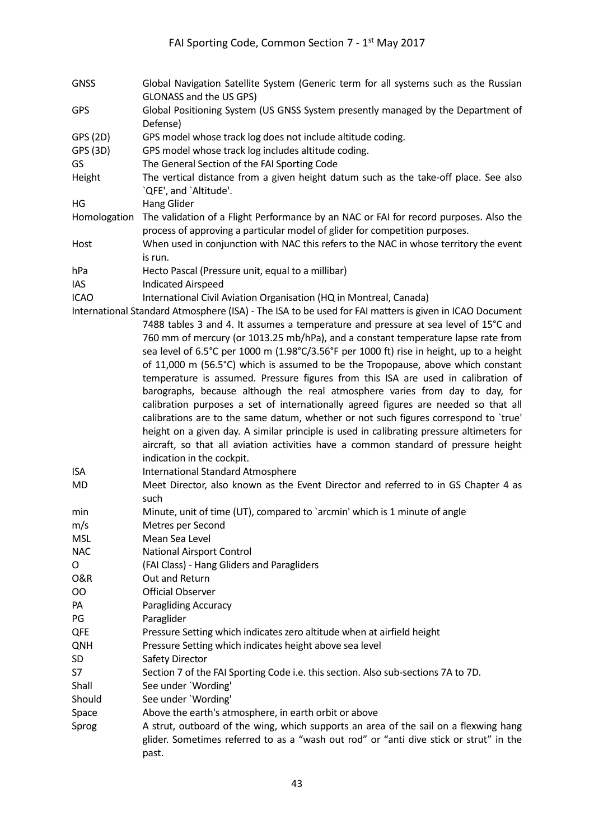- GNSS Global Navigation Satellite System (Generic term for all systems such as the Russian GLONASS and the US GPS)
- GPS Global Positioning System (US GNSS System presently managed by the Department of Defense)
- GPS (2D) GPS model whose track log does not include altitude coding.
- GPS (3D) GPS model whose track log includes altitude coding.
- GS The General Section of the FAI Sporting Code
- Height The vertical distance from a given height datum such as the take-off place. See also `QFE', and `Altitude'.
- HG Hang Glider
- Homologation The validation of a Flight Performance by an NAC or FAI for record purposes. Also the process of approving a particular model of glider for competition purposes.
- Host When used in conjunction with NAC this refers to the NAC in whose territory the event is run.
- hPa Hecto Pascal (Pressure unit, equal to a millibar)
- IAS Indicated Airspeed

ICAO International Civil Aviation Organisation (HQ in Montreal, Canada)

International Standard Atmosphere (ISA) - The ISA to be used for FAI matters is given in ICAO Document 7488 tables 3 and 4. It assumes a temperature and pressure at sea level of 15°C and 760 mm of mercury (or 1013.25 mb/hPa), and a constant temperature lapse rate from sea level of 6.5°C per 1000 m (1.98°C/3.56°F per 1000 ft) rise in height, up to a height of 11,000 m (56.5°C) which is assumed to be the Tropopause, above which constant temperature is assumed. Pressure figures from this ISA are used in calibration of barographs, because although the real atmosphere varies from day to day, for calibration purposes a set of internationally agreed figures are needed so that all calibrations are to the same datum, whether or not such figures correspond to `true' height on a given day. A similar principle is used in calibrating pressure altimeters for aircraft, so that all aviation activities have a common standard of pressure height indication in the cockpit.

- ISA International Standard Atmosphere
- MD Meet Director, also known as the Event Director and referred to in GS Chapter 4 as such
- min Minute, unit of time (UT), compared to `arcmin' which is 1 minute of angle
- m/s Metres per Second
- MSL Mean Sea Level
- NAC National Airsport Control
- O (FAI Class) Hang Gliders and Paragliders
- O&R Out and Return
- OO Official Observer
- PA Paragliding Accuracy
- PG Paraglider
- QFE Pressure Setting which indicates zero altitude when at airfield height
- QNH Pressure Setting which indicates height above sea level
- SD Safety Director
- S7 Section 7 of the FAI Sporting Code i.e. this section. Also sub-sections 7A to 7D.
- Shall See under `Wording'
- Should See under `Wording'
- Space Above the earth's atmosphere, in earth orbit or above
- Sprog and A strut, outboard of the wing, which supports an area of the sail on a flexwing hang glider. Sometimes referred to as a "wash out rod" or "anti dive stick or strut" in the past.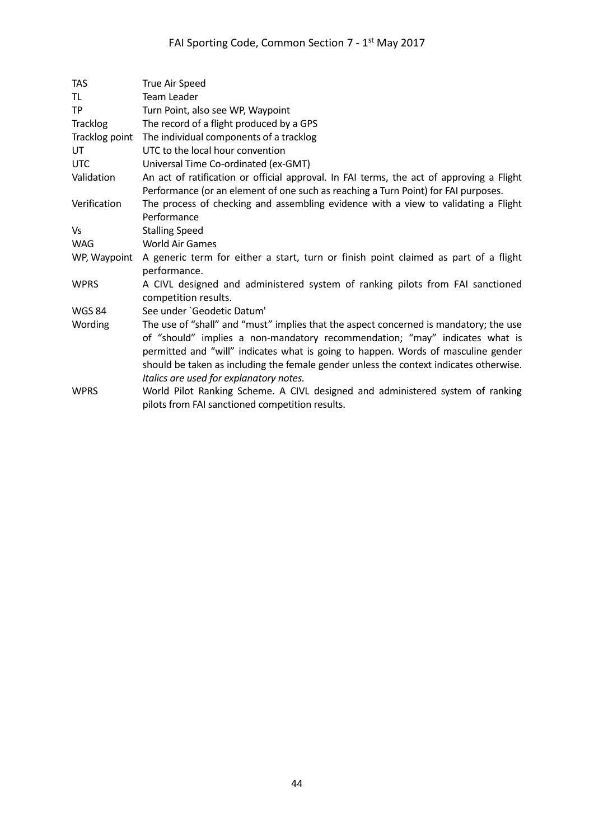| <b>TAS</b>      | True Air Speed                                                                                                                                                                                                                                                                                                                                                                                 |
|-----------------|------------------------------------------------------------------------------------------------------------------------------------------------------------------------------------------------------------------------------------------------------------------------------------------------------------------------------------------------------------------------------------------------|
| TL              | <b>Team Leader</b>                                                                                                                                                                                                                                                                                                                                                                             |
| <b>TP</b>       | Turn Point, also see WP, Waypoint                                                                                                                                                                                                                                                                                                                                                              |
| <b>Tracklog</b> | The record of a flight produced by a GPS                                                                                                                                                                                                                                                                                                                                                       |
| Tracklog point  | The individual components of a tracklog                                                                                                                                                                                                                                                                                                                                                        |
| UT              | UTC to the local hour convention                                                                                                                                                                                                                                                                                                                                                               |
| <b>UTC</b>      | Universal Time Co-ordinated (ex-GMT)                                                                                                                                                                                                                                                                                                                                                           |
| Validation      | An act of ratification or official approval. In FAI terms, the act of approving a Flight<br>Performance (or an element of one such as reaching a Turn Point) for FAI purposes.                                                                                                                                                                                                                 |
| Verification    | The process of checking and assembling evidence with a view to validating a Flight<br>Performance                                                                                                                                                                                                                                                                                              |
| Vs              | <b>Stalling Speed</b>                                                                                                                                                                                                                                                                                                                                                                          |
| <b>WAG</b>      | <b>World Air Games</b>                                                                                                                                                                                                                                                                                                                                                                         |
| WP, Waypoint    | A generic term for either a start, turn or finish point claimed as part of a flight<br>performance.                                                                                                                                                                                                                                                                                            |
| <b>WPRS</b>     | A CIVL designed and administered system of ranking pilots from FAI sanctioned<br>competition results.                                                                                                                                                                                                                                                                                          |
| <b>WGS 84</b>   | See under 'Geodetic Datum'                                                                                                                                                                                                                                                                                                                                                                     |
| Wording         | The use of "shall" and "must" implies that the aspect concerned is mandatory; the use<br>of "should" implies a non-mandatory recommendation; "may" indicates what is<br>permitted and "will" indicates what is going to happen. Words of masculine gender<br>should be taken as including the female gender unless the context indicates otherwise.<br>Italics are used for explanatory notes. |
| <b>WPRS</b>     | World Pilot Ranking Scheme. A CIVL designed and administered system of ranking<br>pilots from FAI sanctioned competition results.                                                                                                                                                                                                                                                              |